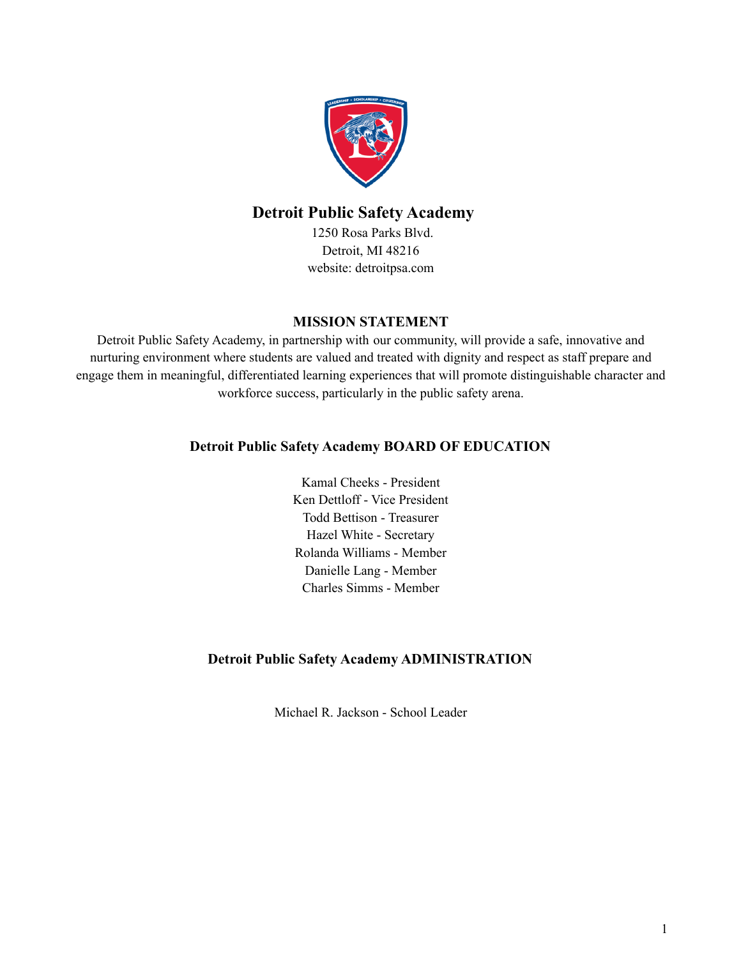

# **Detroit Public Safety Academy**

1250 Rosa Parks Blvd. Detroit, MI 48216 website: detroitpsa.com

## **MISSION STATEMENT**

Detroit Public Safety Academy, in partnership with our community, will provide a safe, innovative and nurturing environment where students are valued and treated with dignity and respect as staff prepare and engage them in meaningful, differentiated learning experiences that will promote distinguishable character and workforce success, particularly in the public safety arena.

# **Detroit Public Safety Academy BOARD OF EDUCATION**

Kamal Cheeks - President Ken Dettloff - Vice President Todd Bettison - Treasurer Hazel White - Secretary Rolanda Williams - Member Danielle Lang - Member Charles Simms - Member

# **Detroit Public Safety Academy ADMINISTRATION**

Michael R. Jackson - School Leader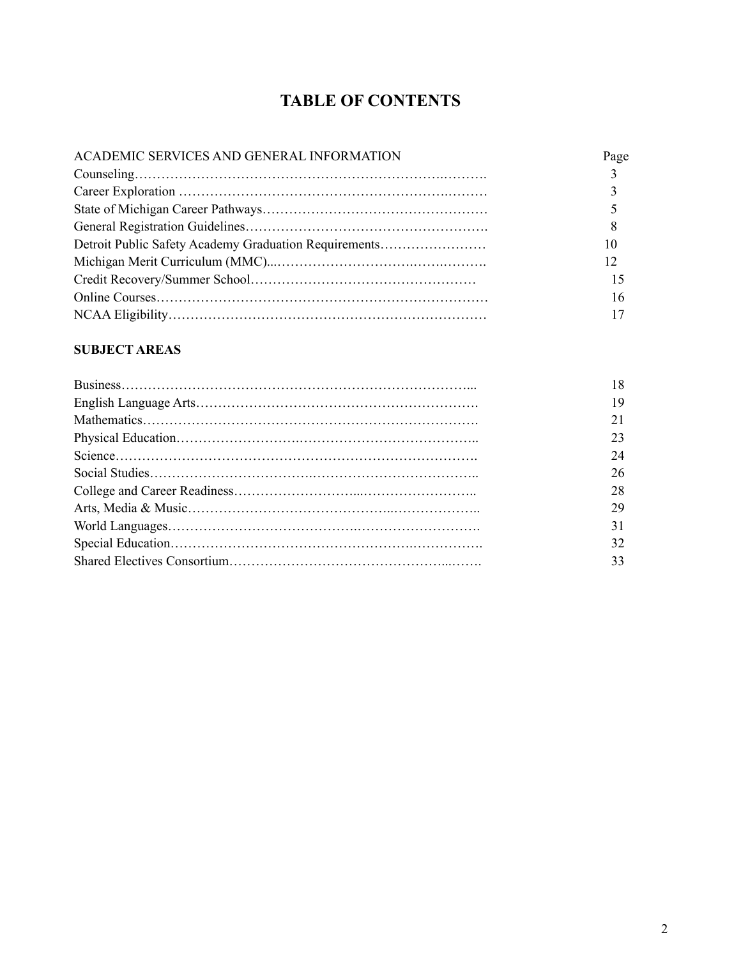# **TABLE OF CONTENTS**

| ACADEMIC SERVICES AND GENERAL INFORMATION             | Page         |
|-------------------------------------------------------|--------------|
|                                                       | $\mathbf{3}$ |
|                                                       |              |
|                                                       |              |
|                                                       | 8            |
| Detroit Public Safety Academy Graduation Requirements |              |
|                                                       | 12           |
|                                                       |              |
|                                                       | 16           |
|                                                       |              |

# **SUBJECT AREAS**

| 19 |
|----|
|    |
| 23 |
| 24 |
| 26 |
| 28 |
| 29 |
| 31 |
| 32 |
| 33 |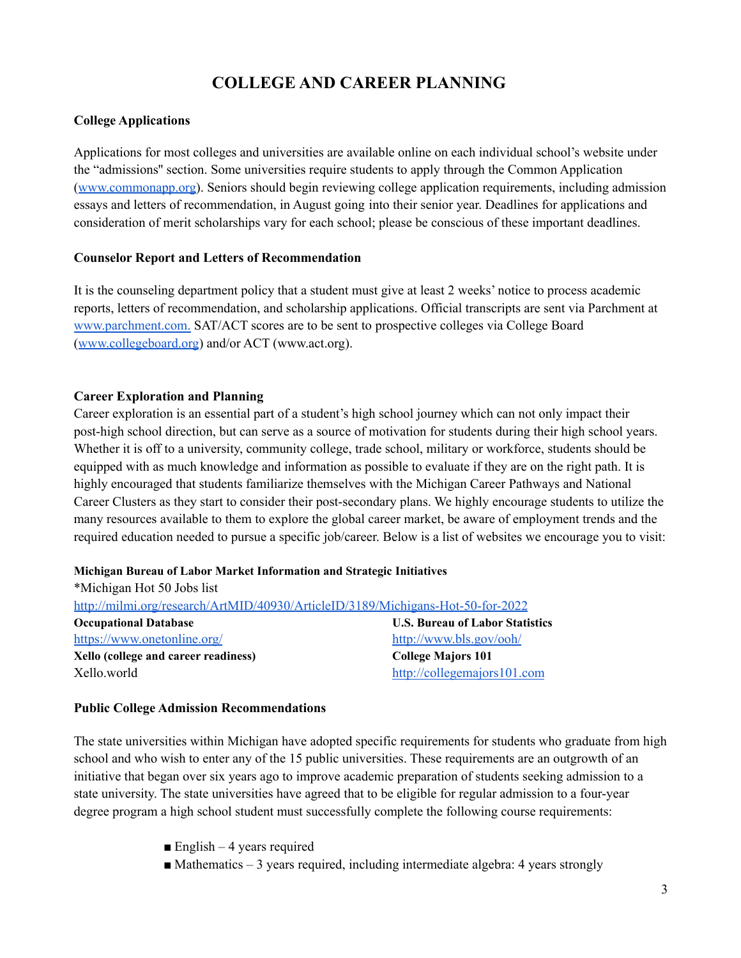# **COLLEGE AND CAREER PLANNING**

#### **College Applications**

Applications for most colleges and universities are available online on each individual school's website under the "admissions'' section. Some universities require students to apply through the Common Application ([www.commonapp.org](http://www.commonapp.org/)). Seniors should begin reviewing college application requirements, including admission essays and letters of recommendation, in August going into their senior year. Deadlines for applications and consideration of merit scholarships vary for each school; please be conscious of these important deadlines.

#### **Counselor Report and Letters of Recommendation**

It is the counseling department policy that a student must give at least 2 weeks' notice to process academic reports, letters of recommendation, and scholarship applications. Official transcripts are sent via Parchment at [www.parchment.com.](http://www.parchment.com/) SAT/ACT scores are to be sent to prospective colleges via College Board ([www.collegeboard.org](http://www.collegeboard.org/)) and/or ACT (www.act.org).

#### **Career Exploration and Planning**

Career exploration is an essential part of a student's high school journey which can not only impact their post-high school direction, but can serve as a source of motivation for students during their high school years. Whether it is off to a university, community college, trade school, military or workforce, students should be equipped with as much knowledge and information as possible to evaluate if they are on the right path. It is highly encouraged that students familiarize themselves with the Michigan Career Pathways and National Career Clusters as they start to consider their post-secondary plans. We highly encourage students to utilize the many resources available to them to explore the global career market, be aware of employment trends and the required education needed to pursue a specific job/career. Below is a list of websites we encourage you to visit:

#### **Michigan Bureau of Labor Market Information and Strategic Initiatives**

| *Michigan Hot 50 Jobs list                                                      |                                        |
|---------------------------------------------------------------------------------|----------------------------------------|
| http://milmi.org/research/ArtMID/40930/ArticleID/3189/Michigans-Hot-50-for-2022 |                                        |
| <b>Occupational Database</b>                                                    | <b>U.S. Bureau of Labor Statistics</b> |
| https://www.onetonline.org/                                                     | http://www.bls.gov/ooh/                |
| Xello (college and career readiness)                                            | <b>College Majors 101</b>              |
| Xello.world                                                                     | http://collegemajors101.com            |

### **Public College Admission Recommendations**

The state universities within Michigan have adopted specific requirements for students who graduate from high school and who wish to enter any of the 15 public universities. These requirements are an outgrowth of an initiative that began over six years ago to improve academic preparation of students seeking admission to a state university. The state universities have agreed that to be eligible for regular admission to a four-year degree program a high school student must successfully complete the following course requirements:

 $\blacksquare$  English – 4 years required

 $\blacksquare$  Mathematics – 3 years required, including intermediate algebra: 4 years strongly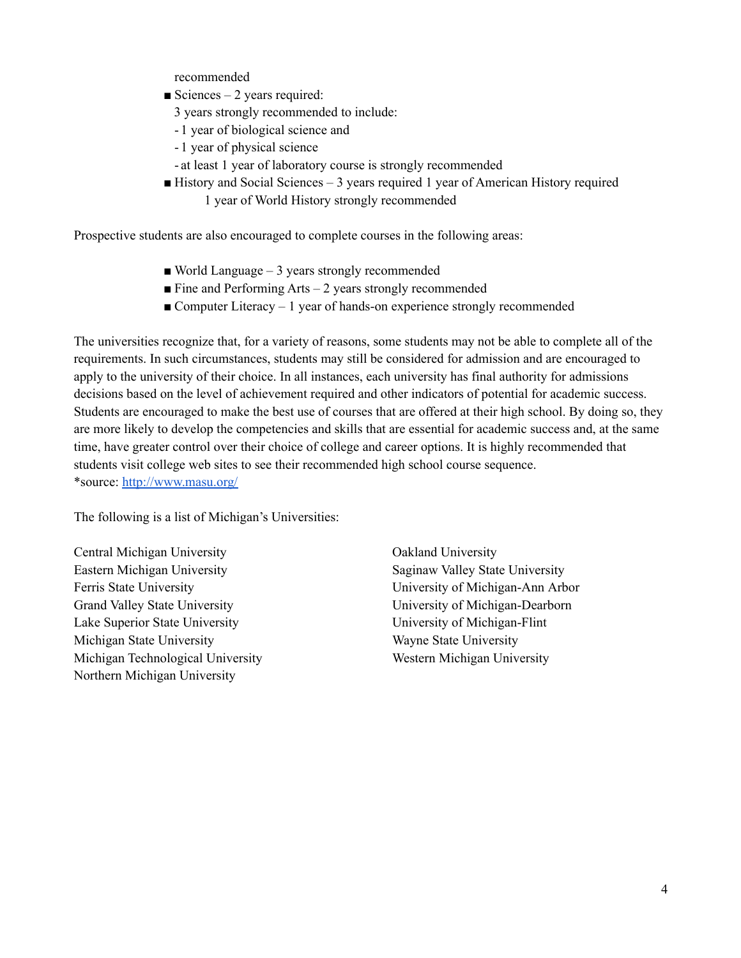recommended

- $\blacksquare$  Sciences 2 years required:
	- 3 years strongly recommended to include:
	- 1 year of biological science and
	- 1 year of physical science
	- at least 1 year of laboratory course is strongly recommended
- $\blacksquare$  History and Social Sciences 3 years required 1 year of American History required 1 year of World History strongly recommended

Prospective students are also encouraged to complete courses in the following areas:

- $\blacksquare$  World Language 3 years strongly recommended
- $\blacksquare$  Fine and Performing Arts 2 years strongly recommended
- Computer Literacy 1 year of hands-on experience strongly recommended

The universities recognize that, for a variety of reasons, some students may not be able to complete all of the requirements. In such circumstances, students may still be considered for admission and are encouraged to apply to the university of their choice. In all instances, each university has final authority for admissions decisions based on the level of achievement required and other indicators of potential for academic success. Students are encouraged to make the best use of courses that are offered at their high school. By doing so, they are more likely to develop the competencies and skills that are essential for academic success and, at the same time, have greater control over their choice of college and career options. It is highly recommended that students visit college web sites to see their recommended high school course sequence. \*source: <http://www.masu.org/>

The following is a list of Michigan's Universities:

Central Michigan University Oakland University Eastern Michigan University **Saginaw Valley State University** Saginaw Valley State University Ferris State University University of Michigan-Ann Arbor Grand Valley State University **Example 2018** University of Michigan-Dearborn Lake Superior State University University of Michigan-Flint Michigan State University Wayne State University Michigan Technological University Western Michigan University Northern Michigan University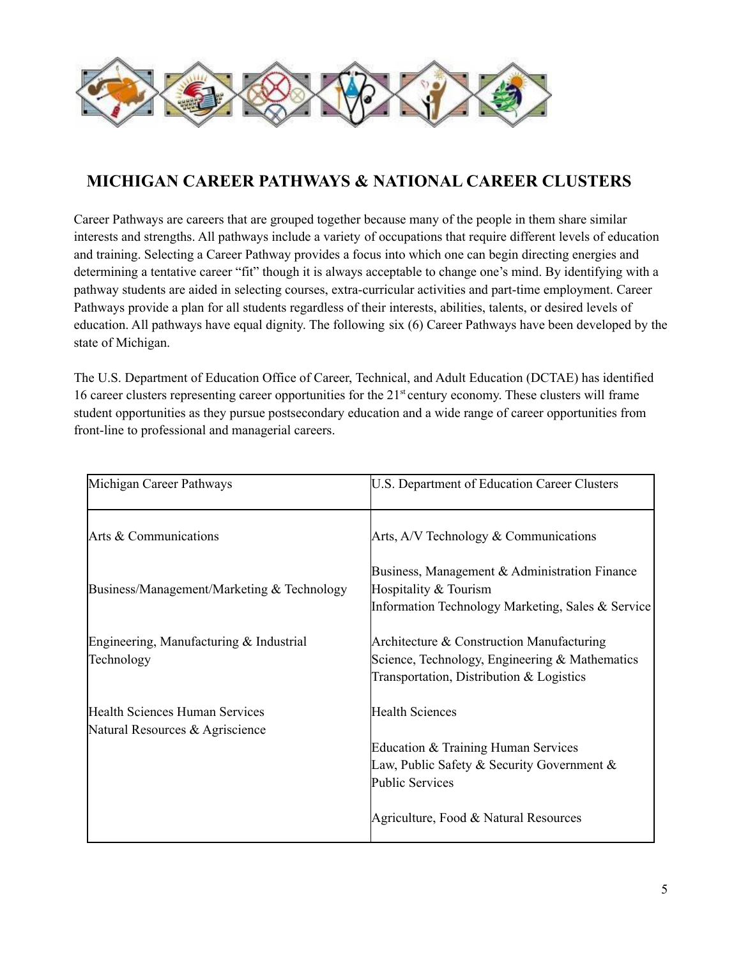

# **MICHIGAN CAREER PATHWAYS & NATIONAL CAREER CLUSTERS**

Career Pathways are careers that are grouped together because many of the people in them share similar interests and strengths. All pathways include a variety of occupations that require different levels of education and training. Selecting a Career Pathway provides a focus into which one can begin directing energies and determining a tentative career "fit" though it is always acceptable to change one's mind. By identifying with a pathway students are aided in selecting courses, extra-curricular activities and part-time employment. Career Pathways provide a plan for all students regardless of their interests, abilities, talents, or desired levels of education. All pathways have equal dignity. The following six (6) Career Pathways have been developed by the state of Michigan.

The U.S. Department of Education Office of Career, Technical, and Adult Education (DCTAE) has identified 16 career clusters representing career opportunities for the 21<sup>st</sup> century economy. These clusters will frame student opportunities as they pursue postsecondary education and a wide range of career opportunities from front-line to professional and managerial careers.

| Michigan Career Pathways                                                 | U.S. Department of Education Career Clusters                                                                                             |
|--------------------------------------------------------------------------|------------------------------------------------------------------------------------------------------------------------------------------|
| Arts & Communications                                                    | Arts, A/V Technology & Communications                                                                                                    |
| Business/Management/Marketing & Technology                               | Business, Management & Administration Finance<br>Hospitality & Tourism<br>Information Technology Marketing, Sales & Service              |
| Engineering, Manufacturing & Industrial<br>Technology                    | Architecture & Construction Manufacturing<br>Science, Technology, Engineering & Mathematics<br>Transportation, Distribution & Logistics  |
| <b>Health Sciences Human Services</b><br>Natural Resources & Agriscience | <b>Health Sciences</b><br>Education & Training Human Services<br>Law, Public Safety & Security Government $\&$<br><b>Public Services</b> |
|                                                                          | Agriculture, Food & Natural Resources                                                                                                    |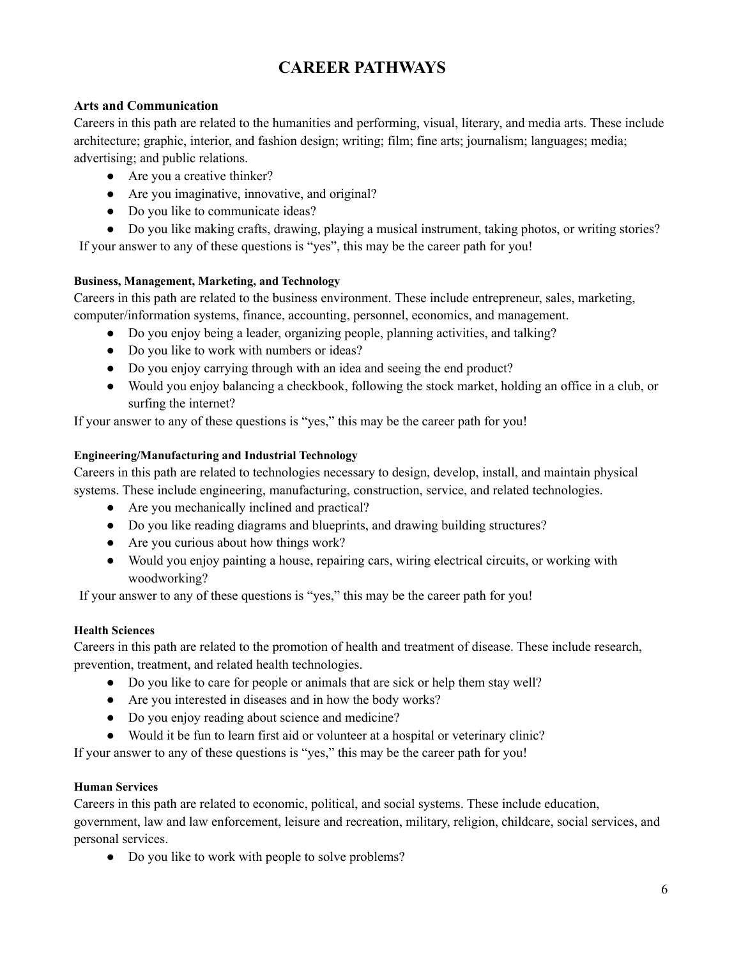# **CAREER PATHWAYS**

## **Arts and Communication**

Careers in this path are related to the humanities and performing, visual, literary, and media arts. These include architecture; graphic, interior, and fashion design; writing; film; fine arts; journalism; languages; media; advertising; and public relations.

- Are you a creative thinker?
- Are you imaginative, innovative, and original?
- Do you like to communicate ideas?
- Do you like making crafts, drawing, playing a musical instrument, taking photos, or writing stories?

If your answer to any of these questions is "yes", this may be the career path for you!

## **Business, Management, Marketing, and Technology**

Careers in this path are related to the business environment. These include entrepreneur, sales, marketing, computer/information systems, finance, accounting, personnel, economics, and management.

- Do you enjoy being a leader, organizing people, planning activities, and talking?
- Do you like to work with numbers or ideas?
- Do you enjoy carrying through with an idea and seeing the end product?
- Would you enjoy balancing a checkbook, following the stock market, holding an office in a club, or surfing the internet?

If your answer to any of these questions is "yes," this may be the career path for you!

### **Engineering/Manufacturing and Industrial Technology**

Careers in this path are related to technologies necessary to design, develop, install, and maintain physical systems. These include engineering, manufacturing, construction, service, and related technologies.

- Are you mechanically inclined and practical?
- Do you like reading diagrams and blueprints, and drawing building structures?
- Are you curious about how things work?
- Would you enjoy painting a house, repairing cars, wiring electrical circuits, or working with woodworking?

If your answer to any of these questions is "yes," this may be the career path for you!

### **Health Sciences**

Careers in this path are related to the promotion of health and treatment of disease. These include research, prevention, treatment, and related health technologies.

- Do you like to care for people or animals that are sick or help them stay well?
- Are you interested in diseases and in how the body works?
- Do you enjoy reading about science and medicine?
- Would it be fun to learn first aid or volunteer at a hospital or veterinary clinic?

If your answer to any of these questions is "yes," this may be the career path for you!

### **Human Services**

Careers in this path are related to economic, political, and social systems. These include education, government, law and law enforcement, leisure and recreation, military, religion, childcare, social services, and personal services.

• Do you like to work with people to solve problems?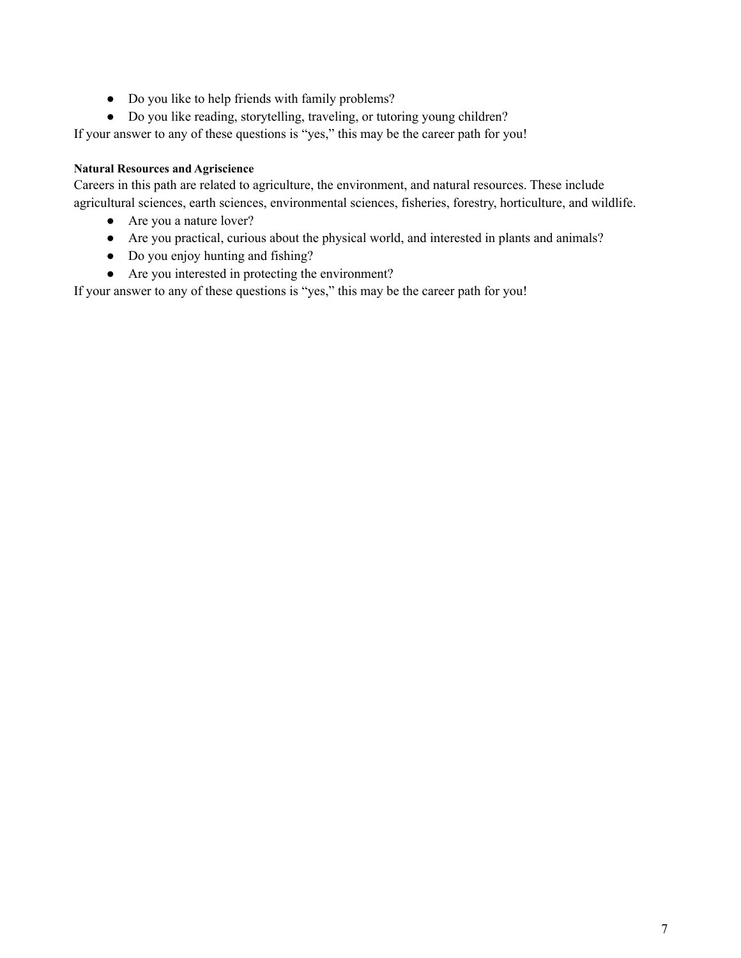- Do you like to help friends with family problems?
- Do you like reading, storytelling, traveling, or tutoring young children?

If your answer to any of these questions is "yes," this may be the career path for you!

## **Natural Resources and Agriscience**

Careers in this path are related to agriculture, the environment, and natural resources. These include agricultural sciences, earth sciences, environmental sciences, fisheries, forestry, horticulture, and wildlife.

- Are you a nature lover?
- Are you practical, curious about the physical world, and interested in plants and animals?
- Do you enjoy hunting and fishing?
- Are you interested in protecting the environment?

If your answer to any of these questions is "yes," this may be the career path for you!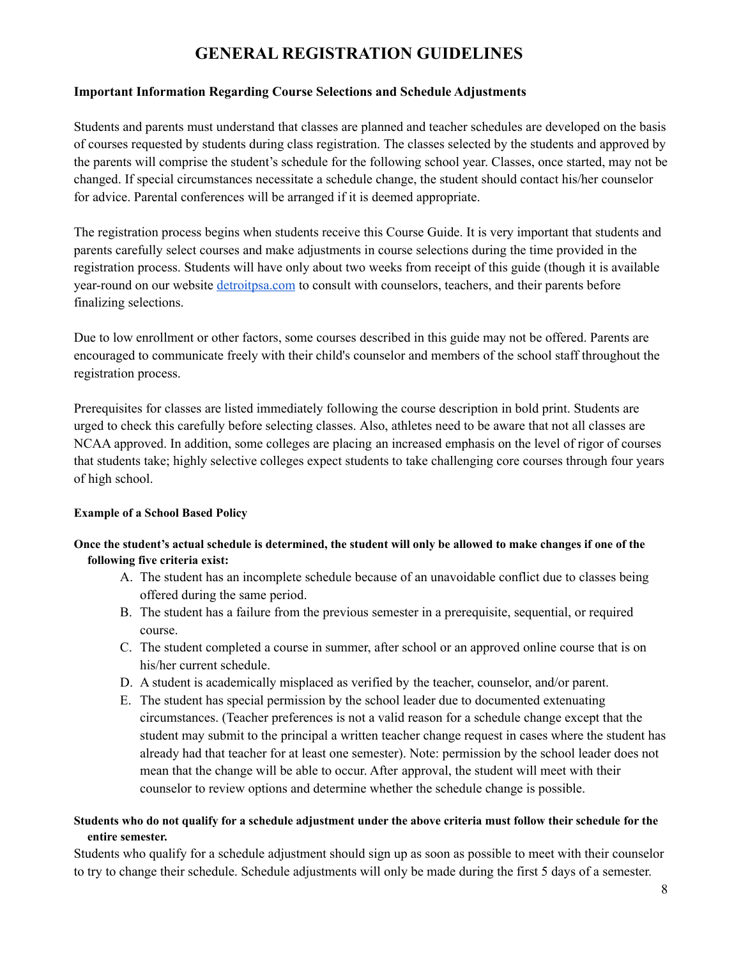# **GENERAL REGISTRATION GUIDELINES**

#### **Important Information Regarding Course Selections and Schedule Adjustments**

Students and parents must understand that classes are planned and teacher schedules are developed on the basis of courses requested by students during class registration. The classes selected by the students and approved by the parents will comprise the student's schedule for the following school year. Classes, once started, may not be changed. If special circumstances necessitate a schedule change, the student should contact his/her counselor for advice. Parental conferences will be arranged if it is deemed appropriate.

The registration process begins when students receive this Course Guide. It is very important that students and parents carefully select courses and make adjustments in course selections during the time provided in the registration process. Students will have only about two weeks from receipt of this guide (though it is available year-round on our website [detroitpsa.com](https://www.detroitpsa.com/) to consult with counselors, teachers, and their parents before finalizing selections.

Due to low enrollment or other factors, some courses described in this guide may not be offered. Parents are encouraged to communicate freely with their child's counselor and members of the school staff throughout the registration process.

Prerequisites for classes are listed immediately following the course description in bold print. Students are urged to check this carefully before selecting classes. Also, athletes need to be aware that not all classes are NCAA approved. In addition, some colleges are placing an increased emphasis on the level of rigor of courses that students take; highly selective colleges expect students to take challenging core courses through four years of high school.

#### **Example of a School Based Policy**

### Once the student's actual schedule is determined, the student will only be allowed to make changes if one of the **following five criteria exist:**

- A. The student has an incomplete schedule because of an unavoidable conflict due to classes being offered during the same period.
- B. The student has a failure from the previous semester in a prerequisite, sequential, or required course.
- C. The student completed a course in summer, after school or an approved online course that is on his/her current schedule.
- D. A student is academically misplaced as verified by the teacher, counselor, and/or parent.
- E. The student has special permission by the school leader due to documented extenuating circumstances. (Teacher preferences is not a valid reason for a schedule change except that the student may submit to the principal a written teacher change request in cases where the student has already had that teacher for at least one semester). Note: permission by the school leader does not mean that the change will be able to occur. After approval, the student will meet with their counselor to review options and determine whether the schedule change is possible.

#### Students who do not qualify for a schedule adjustment under the above criteria must follow their schedule for the **entire semester.**

Students who qualify for a schedule adjustment should sign up as soon as possible to meet with their counselor to try to change their schedule. Schedule adjustments will only be made during the first 5 days of a semester.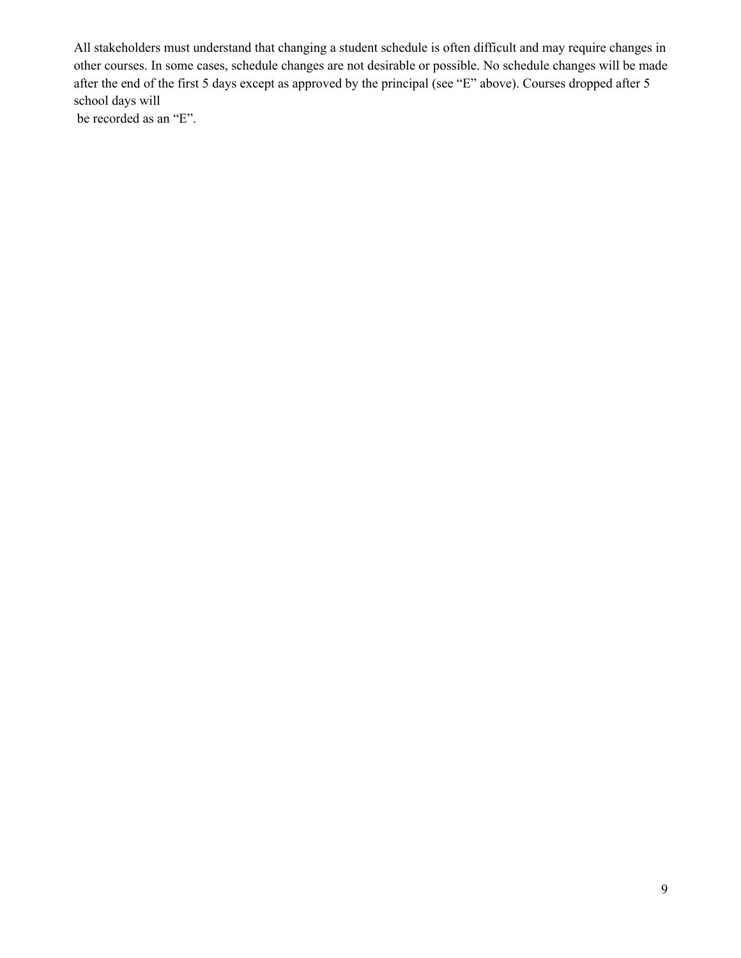All stakeholders must understand that changing a student schedule is often difficult and may require changes in other courses. In some cases, schedule changes are not desirable or possible. No schedule changes will be made after the end of the first 5 days except as approved by the principal (see "E" above). Courses dropped after 5 school days will be recorded as an "E".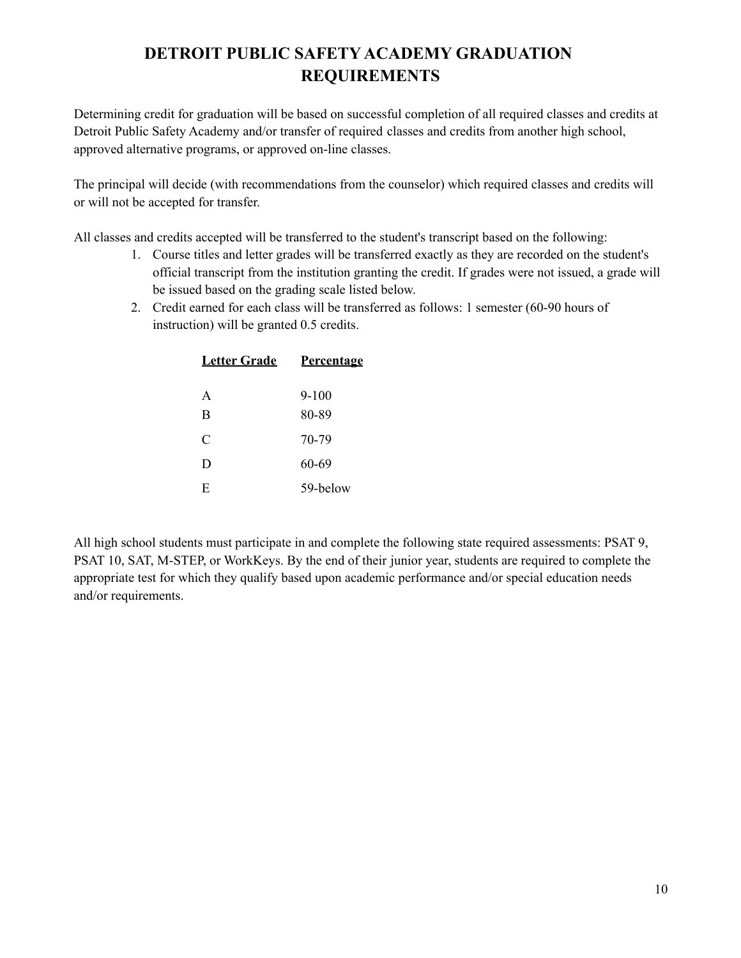# **DETROIT PUBLIC SAFETY ACADEMY GRADUATION REQUIREMENTS**

Determining credit for graduation will be based on successful completion of all required classes and credits at Detroit Public Safety Academy and/or transfer of required classes and credits from another high school, approved alternative programs, or approved on-line classes.

The principal will decide (with recommendations from the counselor) which required classes and credits will or will not be accepted for transfer.

All classes and credits accepted will be transferred to the student's transcript based on the following:

- 1. Course titles and letter grades will be transferred exactly as they are recorded on the student's official transcript from the institution granting the credit. If grades were not issued, a grade will be issued based on the grading scale listed below.
- 2. Credit earned for each class will be transferred as follows: 1 semester (60-90 hours of instruction) will be granted 0.5 credits.

| <b>Letter Grade</b> | <b>Percentage</b> |
|---------------------|-------------------|
| A                   | $9 - 100$         |
| B                   | 80-89             |
| $\mathcal{C}$       | 70-79             |
| D                   | 60-69             |
| E                   | 59-below          |

All high school students must participate in and complete the following state required assessments: PSAT 9, PSAT 10, SAT, M-STEP, or WorkKeys. By the end of their junior year, students are required to complete the appropriate test for which they qualify based upon academic performance and/or special education needs and/or requirements.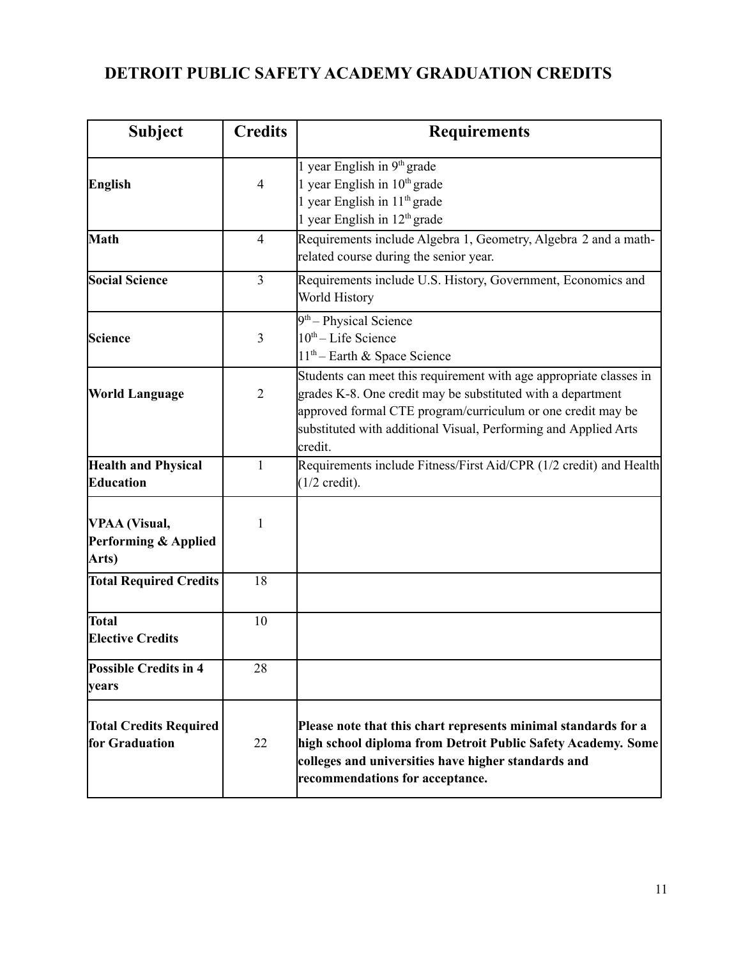# **DETROIT PUBLIC SAFETY ACADEMY GRADUATION CREDITS**

| <b>Subject</b>                                        | <b>Credits</b> | <b>Requirements</b>                                                                                                                                                                                                                                                            |
|-------------------------------------------------------|----------------|--------------------------------------------------------------------------------------------------------------------------------------------------------------------------------------------------------------------------------------------------------------------------------|
| <b>English</b>                                        | $\overline{4}$ | 1 year English in 9th grade<br>1 year English in 10th grade<br>1 year English in 11 <sup>th</sup> grade<br>1 year English in $12th$ grade                                                                                                                                      |
| Math                                                  | $\overline{4}$ | Requirements include Algebra 1, Geometry, Algebra 2 and a math-<br>related course during the senior year.                                                                                                                                                                      |
| <b>Social Science</b>                                 | $\overline{3}$ | Requirements include U.S. History, Government, Economics and<br>World History                                                                                                                                                                                                  |
| <b>Science</b>                                        | 3              | 9 <sup>th</sup> - Physical Science<br>10 <sup>th</sup> – Life Science<br>$11th$ – Earth & Space Science                                                                                                                                                                        |
| <b>World Language</b>                                 | $\overline{2}$ | Students can meet this requirement with age appropriate classes in<br>grades K-8. One credit may be substituted with a department<br>approved formal CTE program/curriculum or one credit may be<br>substituted with additional Visual, Performing and Applied Arts<br>credit. |
| <b>Health and Physical</b><br>Education               | 1              | Requirements include Fitness/First Aid/CPR (1/2 credit) and Health<br>$(1/2 \text{ credit}).$                                                                                                                                                                                  |
| <b>VPAA</b> (Visual,<br>Performing & Applied<br>Arts) | 1              |                                                                                                                                                                                                                                                                                |
| <b>Total Required Credits</b>                         | 18             |                                                                                                                                                                                                                                                                                |
| <b>Total</b><br><b>Elective Credits</b>               | 10             |                                                                                                                                                                                                                                                                                |
| <b>Possible Credits in 4</b><br>vears                 | 28             |                                                                                                                                                                                                                                                                                |
| <b>Total Credits Required</b><br>for Graduation       | 22             | Please note that this chart represents minimal standards for a<br>high school diploma from Detroit Public Safety Academy. Some<br>colleges and universities have higher standards and<br>recommendations for acceptance.                                                       |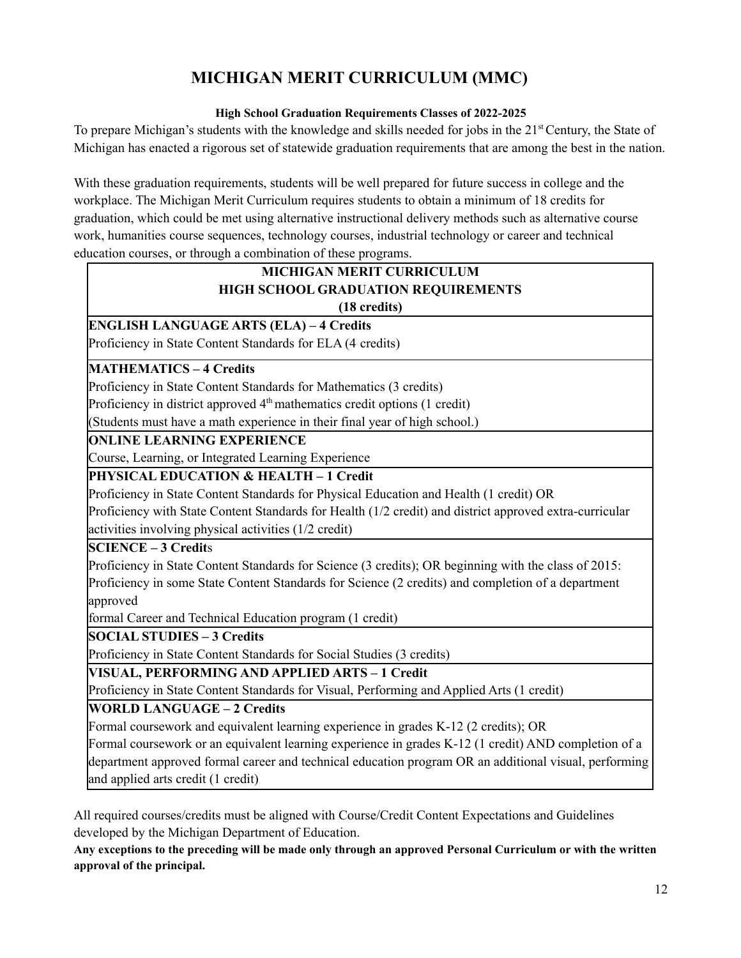# **MICHIGAN MERIT CURRICULUM (MMC)**

### **High School Graduation Requirements Classes of 2022-2025**

To prepare Michigan's students with the knowledge and skills needed for jobs in the 21<sup>st</sup> Century, the State of Michigan has enacted a rigorous set of statewide graduation requirements that are among the best in the nation.

With these graduation requirements, students will be well prepared for future success in college and the workplace. The Michigan Merit Curriculum requires students to obtain a minimum of 18 credits for graduation, which could be met using alternative instructional delivery methods such as alternative course work, humanities course sequences, technology courses, industrial technology or career and technical education courses, or through a combination of these programs.

## **MICHIGAN MERIT CURRICULUM HIGH SCHOOL GRADUATION REQUIREMENTS (18 credits)**

**ENGLISH LANGUAGE ARTS (ELA) – 4 Credits**

Proficiency in State Content Standards for ELA (4 credits)

## **MATHEMATICS – 4 Credits**

Proficiency in State Content Standards for Mathematics (3 credits)

Proficiency in district approved 4<sup>th</sup> mathematics credit options (1 credit)

(Students must have a math experience in their final year of high school.)

## **ONLINE LEARNING EXPERIENCE**

Course, Learning, or Integrated Learning Experience

**PHYSICAL EDUCATION & HEALTH – 1 Credit**

Proficiency in State Content Standards for Physical Education and Health (1 credit) OR

Proficiency with State Content Standards for Health (1/2 credit) and district approved extra-curricular activities involving physical activities (1/2 credit)

### **SCIENCE – 3 Credit**s

Proficiency in State Content Standards for Science (3 credits); OR beginning with the class of 2015: Proficiency in some State Content Standards for Science (2 credits) and completion of a department approved

formal Career and Technical Education program (1 credit)

### **SOCIAL STUDIES – 3 Credits**

Proficiency in State Content Standards for Social Studies (3 credits)

## **VISUAL, PERFORMING AND APPLIED ARTS – 1 Credit**

Proficiency in State Content Standards for Visual, Performing and Applied Arts (1 credit)

### **WORLD LANGUAGE – 2 Credits**

Formal coursework and equivalent learning experience in grades K-12 (2 credits); OR

Formal coursework or an equivalent learning experience in grades K-12 (1 credit) AND completion of a department approved formal career and technical education program OR an additional visual, performing and applied arts credit (1 credit)

All required courses/credits must be aligned with Course/Credit Content Expectations and Guidelines developed by the Michigan Department of Education.

Any exceptions to the preceding will be made only through an approved Personal Curriculum or with the written **approval of the principal.**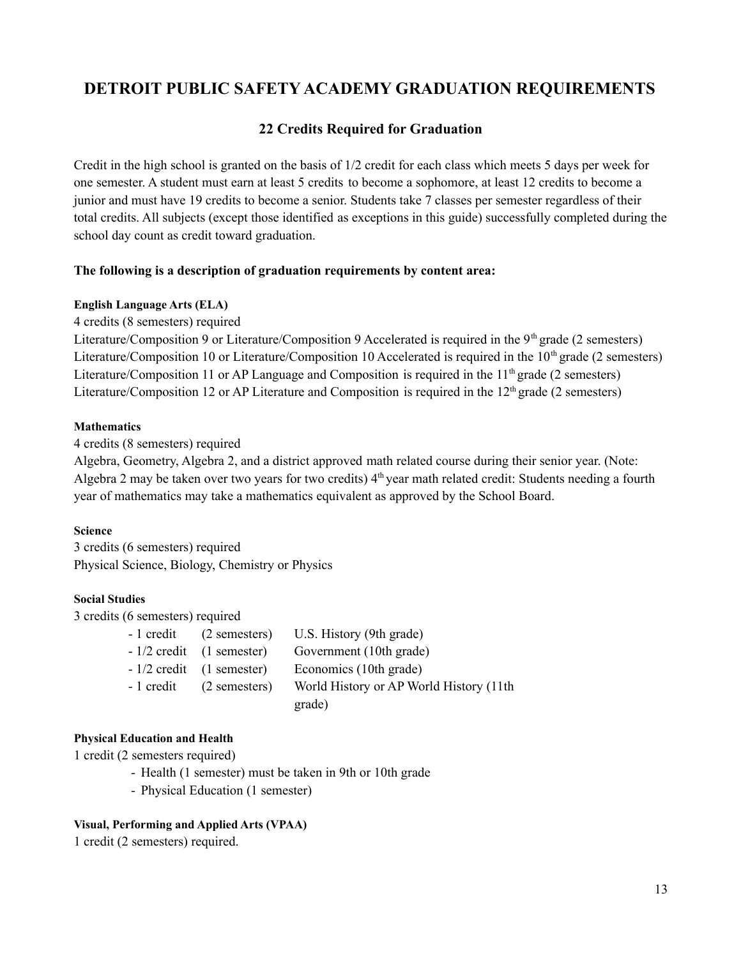# **DETROIT PUBLIC SAFETY ACADEMY GRADUATION REQUIREMENTS**

## **22 Credits Required for Graduation**

Credit in the high school is granted on the basis of 1/2 credit for each class which meets 5 days per week for one semester. A student must earn at least 5 credits to become a sophomore, at least 12 credits to become a junior and must have 19 credits to become a senior. Students take 7 classes per semester regardless of their total credits. All subjects (except those identified as exceptions in this guide) successfully completed during the school day count as credit toward graduation.

### **The following is a description of graduation requirements by content area:**

#### **English Language Arts (ELA)**

4 credits (8 semesters) required

Literature/Composition 9 or Literature/Composition 9 Accelerated is required in the 9<sup>th</sup> grade (2 semesters) Literature/Composition 10 or Literature/Composition 10 Accelerated is required in the 10<sup>th</sup> grade (2 semesters) Literature/Composition 11 or AP Language and Composition is required in the 11<sup>th</sup> grade (2 semesters) Literature/Composition 12 or AP Literature and Composition is required in the  $12<sup>th</sup>$  grade (2 semesters)

#### **Mathematics**

4 credits (8 semesters) required

Algebra, Geometry, Algebra 2, and a district approved math related course during their senior year. (Note: Algebra 2 may be taken over two years for two credits) 4<sup>th</sup> year math related credit: Students needing a fourth year of mathematics may take a mathematics equivalent as approved by the School Board.

#### **Science**

3 credits (6 semesters) required Physical Science, Biology, Chemistry or Physics

#### **Social Studies**

3 credits (6 semesters) required

|            | - 1 credit (2 semesters)   | U.S. History (9th grade)                |
|------------|----------------------------|-----------------------------------------|
|            | $-1/2$ credit (1 semester) | Government (10th grade)                 |
|            | $-1/2$ credit (1 semester) | Economics (10th grade)                  |
| - 1 credit | (2 semesters)              | World History or AP World History (11th |
|            |                            | grade)                                  |

#### **Physical Education and Health**

1 credit (2 semesters required)

- Health (1 semester) must be taken in 9th or 10th grade
- Physical Education (1 semester)

#### **Visual, Performing and Applied Arts (VPAA)**

1 credit (2 semesters) required.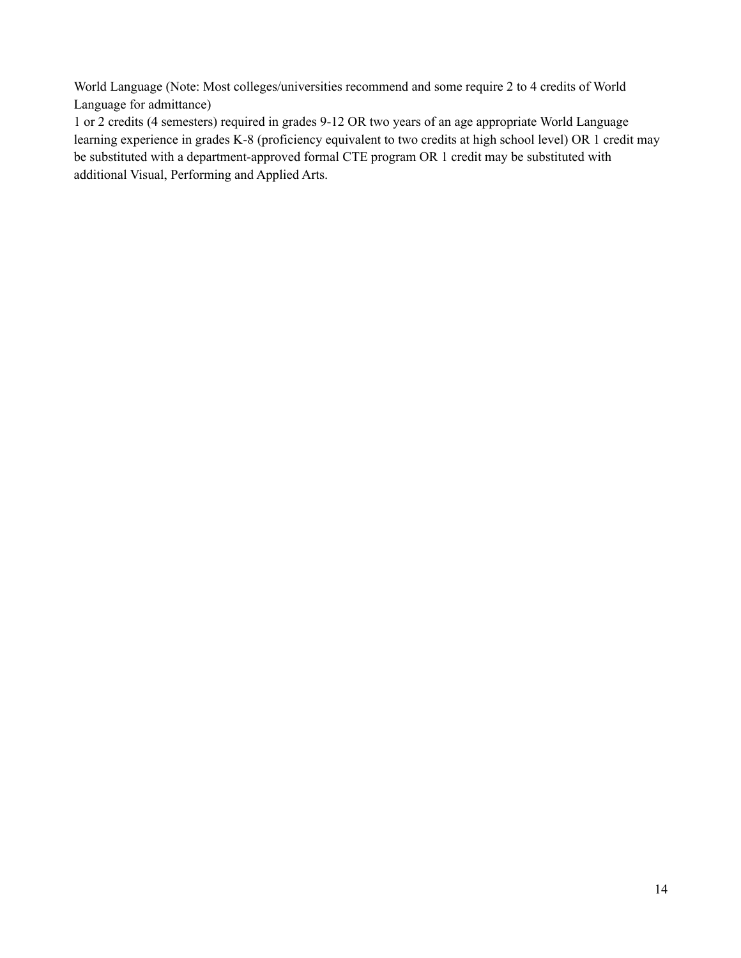World Language (Note: Most colleges/universities recommend and some require 2 to 4 credits of World Language for admittance)

1 or 2 credits (4 semesters) required in grades 9-12 OR two years of an age appropriate World Language learning experience in grades K-8 (proficiency equivalent to two credits at high school level) OR 1 credit may be substituted with a department-approved formal CTE program OR 1 credit may be substituted with additional Visual, Performing and Applied Arts.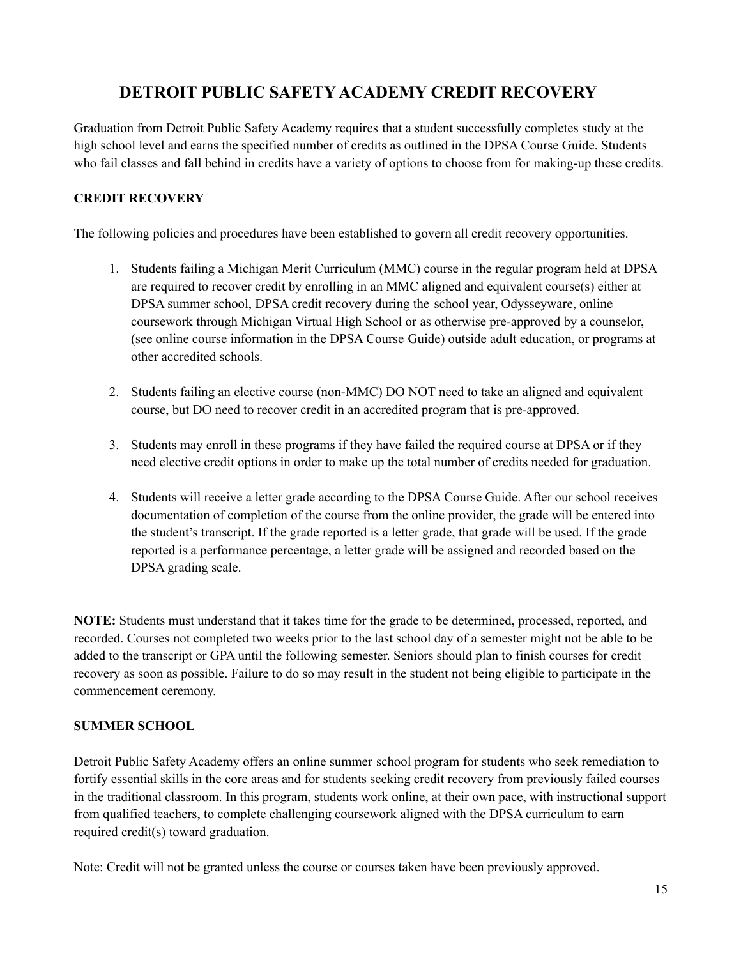# **DETROIT PUBLIC SAFETY ACADEMY CREDIT RECOVERY**

Graduation from Detroit Public Safety Academy requires that a student successfully completes study at the high school level and earns the specified number of credits as outlined in the DPSA Course Guide. Students who fail classes and fall behind in credits have a variety of options to choose from for making-up these credits.

## **CREDIT RECOVERY**

The following policies and procedures have been established to govern all credit recovery opportunities.

- 1. Students failing a Michigan Merit Curriculum (MMC) course in the regular program held at DPSA are required to recover credit by enrolling in an MMC aligned and equivalent course(s) either at DPSA summer school, DPSA credit recovery during the school year, Odysseyware, online coursework through Michigan Virtual High School or as otherwise pre-approved by a counselor, (see online course information in the DPSA Course Guide) outside adult education, or programs at other accredited schools.
- 2. Students failing an elective course (non-MMC) DO NOT need to take an aligned and equivalent course, but DO need to recover credit in an accredited program that is pre-approved.
- 3. Students may enroll in these programs if they have failed the required course at DPSA or if they need elective credit options in order to make up the total number of credits needed for graduation.
- 4. Students will receive a letter grade according to the DPSA Course Guide. After our school receives documentation of completion of the course from the online provider, the grade will be entered into the student's transcript. If the grade reported is a letter grade, that grade will be used. If the grade reported is a performance percentage, a letter grade will be assigned and recorded based on the DPSA grading scale.

**NOTE:** Students must understand that it takes time for the grade to be determined, processed, reported, and recorded. Courses not completed two weeks prior to the last school day of a semester might not be able to be added to the transcript or GPA until the following semester. Seniors should plan to finish courses for credit recovery as soon as possible. Failure to do so may result in the student not being eligible to participate in the commencement ceremony.

#### **SUMMER SCHOOL**

Detroit Public Safety Academy offers an online summer school program for students who seek remediation to fortify essential skills in the core areas and for students seeking credit recovery from previously failed courses in the traditional classroom. In this program, students work online, at their own pace, with instructional support from qualified teachers, to complete challenging coursework aligned with the DPSA curriculum to earn required credit(s) toward graduation.

Note: Credit will not be granted unless the course or courses taken have been previously approved.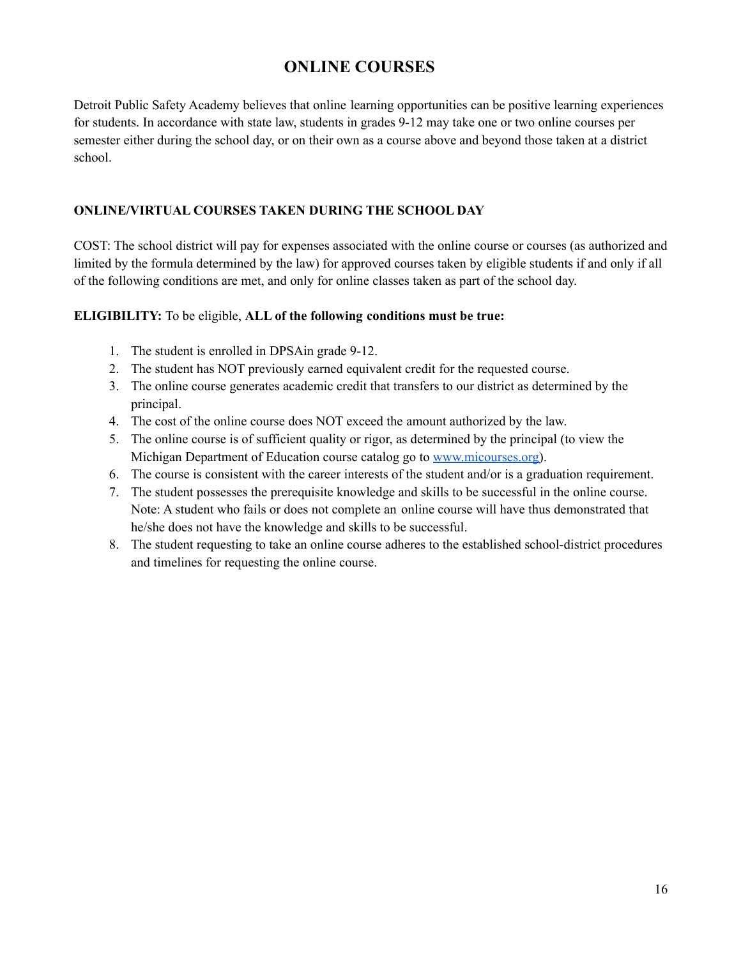# **ONLINE COURSES**

Detroit Public Safety Academy believes that online learning opportunities can be positive learning experiences for students. In accordance with state law, students in grades 9-12 may take one or two online courses per semester either during the school day, or on their own as a course above and beyond those taken at a district school.

## **ONLINE/VIRTUAL COURSES TAKEN DURING THE SCHOOL DAY**

COST: The school district will pay for expenses associated with the online course or courses (as authorized and limited by the formula determined by the law) for approved courses taken by eligible students if and only if all of the following conditions are met, and only for online classes taken as part of the school day.

### **ELIGIBILITY:** To be eligible, **ALL of the following conditions must be true:**

- 1. The student is enrolled in DPSAin grade 9-12.
- 2. The student has NOT previously earned equivalent credit for the requested course.
- 3. The online course generates academic credit that transfers to our district as determined by the principal.
- 4. The cost of the online course does NOT exceed the amount authorized by the law.
- 5. The online course is of sufficient quality or rigor, as determined by the principal (to view the Michigan Department of Education course catalog go to [www.micourses.org\)](http://www.micourses.org/).
- 6. The course is consistent with the career interests of the student and/or is a graduation requirement.
- 7. The student possesses the prerequisite knowledge and skills to be successful in the online course. Note: A student who fails or does not complete an online course will have thus demonstrated that he/she does not have the knowledge and skills to be successful.
- 8. The student requesting to take an online course adheres to the established school-district procedures and timelines for requesting the online course.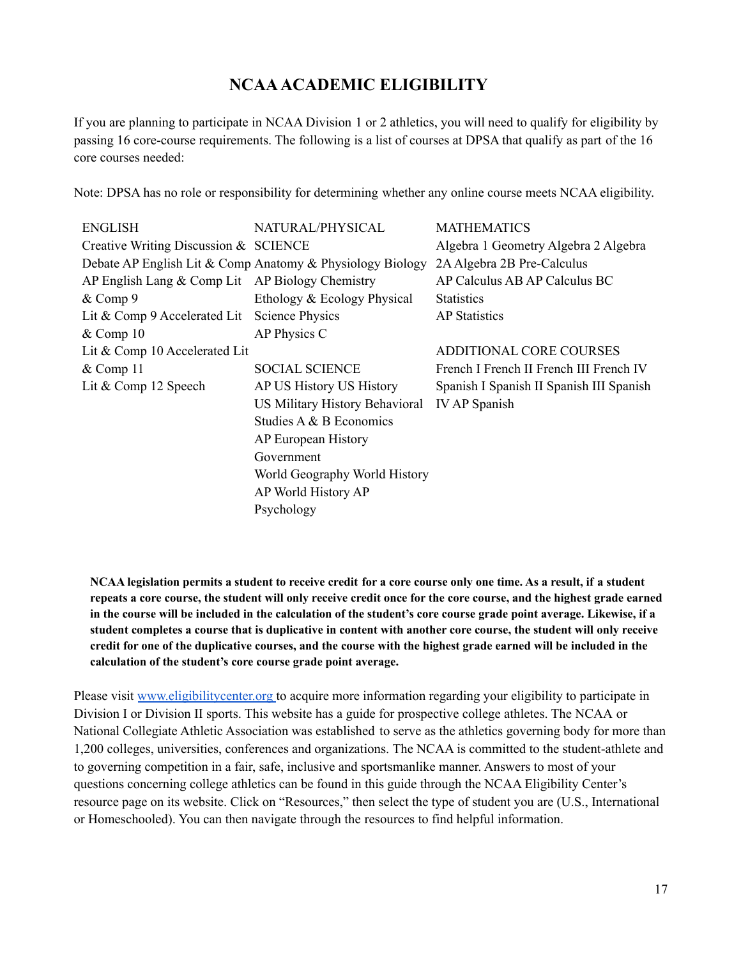# **NCAAACADEMIC ELIGIBILITY**

If you are planning to participate in NCAA Division 1 or 2 athletics, you will need to qualify for eligibility by passing 16 core-course requirements. The following is a list of courses at DPSA that qualify as part of the 16 core courses needed:

Note: DPSA has no role or responsibility for determining whether any online course meets NCAA eligibility.

| <b>ENGLISH</b>                                    | NATURAL/PHYSICAL                                          | <b>MATHEMATICS</b>                       |
|---------------------------------------------------|-----------------------------------------------------------|------------------------------------------|
| Creative Writing Discussion & SCIENCE             |                                                           | Algebra 1 Geometry Algebra 2 Algebra     |
|                                                   | Debate AP English Lit & Comp Anatomy & Physiology Biology | 2A Algebra 2B Pre-Calculus               |
| AP English Lang $&$ Comp Lit AP Biology Chemistry |                                                           | AP Calculus AB AP Calculus BC            |
| & Comp 9                                          | Ethology & Ecology Physical                               | <b>Statistics</b>                        |
| Lit & Comp 9 Accelerated Lit                      | <b>Science Physics</b>                                    | <b>AP</b> Statistics                     |
| &Comp 10                                          | AP Physics C                                              |                                          |
| Lit & Comp 10 Accelerated Lit                     |                                                           | ADDITIONAL CORE COURSES                  |
| &Comp 11                                          | <b>SOCIAL SCIENCE</b>                                     | French I French II French III French IV  |
| Lit & Comp 12 Speech                              | AP US History US History                                  | Spanish I Spanish II Spanish III Spanish |
|                                                   | US Military History Behavioral                            | <b>IV AP Spanish</b>                     |
|                                                   | Studies A & B Economics                                   |                                          |
|                                                   | AP European History                                       |                                          |
|                                                   | Government                                                |                                          |
|                                                   | World Geography World History                             |                                          |
|                                                   | AP World History AP                                       |                                          |
|                                                   | Psychology                                                |                                          |

NCAA legislation permits a student to receive credit for a core course only one time. As a result, if a student repeats a core course, the student will only receive credit once for the core course, and the highest grade earned in the course will be included in the calculation of the student's core course grade point average. Likewise, if a student completes a course that is duplicative in content with another core course, the student will only receive credit for one of the duplicative courses, and the course with the highest grade earned will be included in the **calculation of the student's core course grade point average.**

Please visit [www.eligibilitycenter.org](http://www.eligibilitycenter.org/) to acquire more information regarding your eligibility to participate in Division I or Division II sports. This website has a guide for prospective college athletes. The NCAA or National Collegiate Athletic Association was established to serve as the athletics governing body for more than 1,200 colleges, universities, conferences and organizations. The NCAA is committed to the student-athlete and to governing competition in a fair, safe, inclusive and sportsmanlike manner. Answers to most of your questions concerning college athletics can be found in this guide through the NCAA Eligibility Center's resource page on its website. Click on "Resources," then select the type of student you are (U.S., International or Homeschooled). You can then navigate through the resources to find helpful information.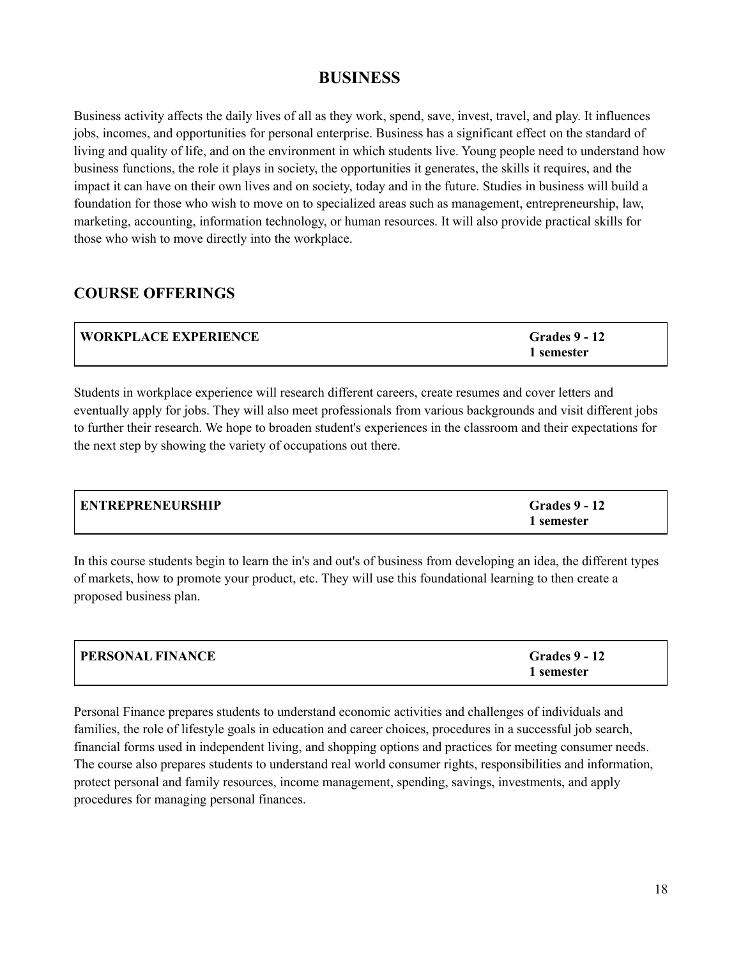# **BUSINESS**

Business activity affects the daily lives of all as they work, spend, save, invest, travel, and play. It influences jobs, incomes, and opportunities for personal enterprise. Business has a significant effect on the standard of living and quality of life, and on the environment in which students live. Young people need to understand how business functions, the role it plays in society, the opportunities it generates, the skills it requires, and the impact it can have on their own lives and on society, today and in the future. Studies in business will build a foundation for those who wish to move on to specialized areas such as management, entrepreneurship, law, marketing, accounting, information technology, or human resources. It will also provide practical skills for those who wish to move directly into the workplace.

# **COURSE OFFERINGS**

| <b>WORKPLACE EXPERIENCE</b> | <b>Grades 9 - 12</b> |
|-----------------------------|----------------------|
|                             | 1 semester           |

Students in workplace experience will research different careers, create resumes and cover letters and eventually apply for jobs. They will also meet professionals from various backgrounds and visit different jobs to further their research. We hope to broaden student's experiences in the classroom and their expectations for the next step by showing the variety of occupations out there.

| <b>ENTREPRENEURSHIP</b> | <b>Grades 9 - 12</b> |
|-------------------------|----------------------|
|                         | 1 semester           |

In this course students begin to learn the in's and out's of business from developing an idea, the different types of markets, how to promote your product, etc. They will use this foundational learning to then create a proposed business plan.

| <b>PERSONAL FINANCE</b> | <b>Grades 9 - 12</b> |
|-------------------------|----------------------|
|                         | 1 semester           |

Personal Finance prepares students to understand economic activities and challenges of individuals and families, the role of lifestyle goals in education and career choices, procedures in a successful job search, financial forms used in independent living, and shopping options and practices for meeting consumer needs. The course also prepares students to understand real world consumer rights, responsibilities and information, protect personal and family resources, income management, spending, savings, investments, and apply procedures for managing personal finances.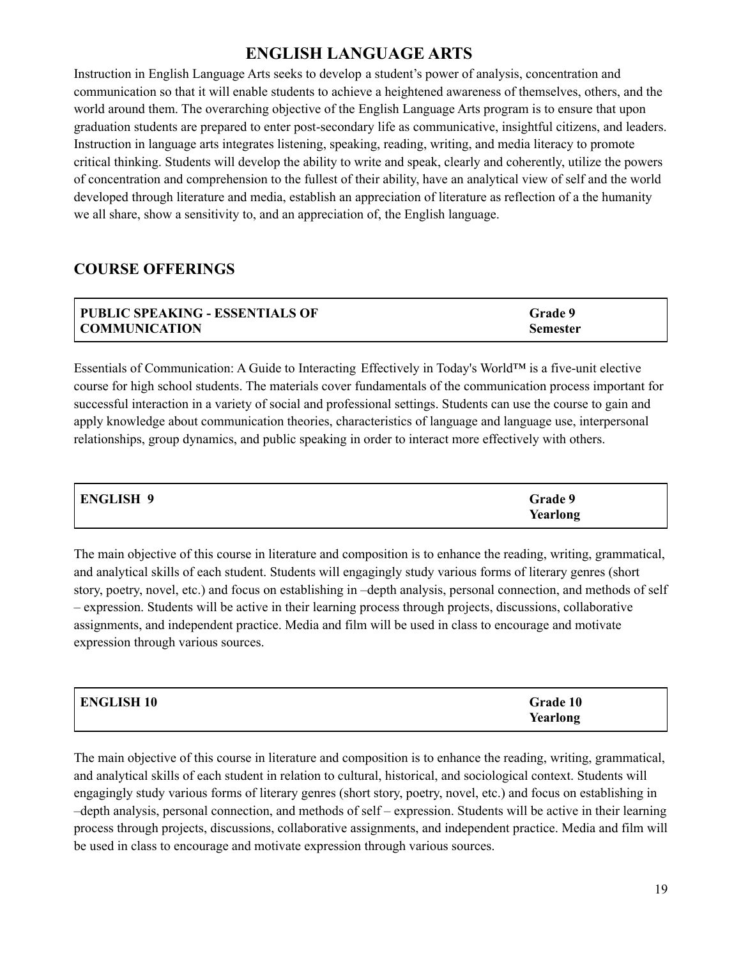# **ENGLISH LANGUAGE ARTS**

Instruction in English Language Arts seeks to develop a student's power of analysis, concentration and communication so that it will enable students to achieve a heightened awareness of themselves, others, and the world around them. The overarching objective of the English Language Arts program is to ensure that upon graduation students are prepared to enter post-secondary life as communicative, insightful citizens, and leaders. Instruction in language arts integrates listening, speaking, reading, writing, and media literacy to promote critical thinking. Students will develop the ability to write and speak, clearly and coherently, utilize the powers of concentration and comprehension to the fullest of their ability, have an analytical view of self and the world developed through literature and media, establish an appreciation of literature as reflection of a the humanity we all share, show a sensitivity to, and an appreciation of, the English language.

# **COURSE OFFERINGS**

| PUBLIC SPEAKING - ESSENTIALS OF | <b>Grade 9</b>  |
|---------------------------------|-----------------|
| <b>COMMUNICATION</b>            | <b>Semester</b> |

Essentials of Communication: A Guide to Interacting Effectively in Today's World™ is a five-unit elective course for high school students. The materials cover fundamentals of the communication process important for successful interaction in a variety of social and professional settings. Students can use the course to gain and apply knowledge about communication theories, characteristics of language and language use, interpersonal relationships, group dynamics, and public speaking in order to interact more effectively with others.

| <b>ENGLISH 9</b> | Grade 9  |
|------------------|----------|
|                  | Yearlong |

The main objective of this course in literature and composition is to enhance the reading, writing, grammatical, and analytical skills of each student. Students will engagingly study various forms of literary genres (short story, poetry, novel, etc.) and focus on establishing in –depth analysis, personal connection, and methods of self – expression. Students will be active in their learning process through projects, discussions, collaborative assignments, and independent practice. Media and film will be used in class to encourage and motivate expression through various sources.

| <b>ENGLISH 10</b> | Grade 10 |
|-------------------|----------|
|                   | Yearlong |

The main objective of this course in literature and composition is to enhance the reading, writing, grammatical, and analytical skills of each student in relation to cultural, historical, and sociological context. Students will engagingly study various forms of literary genres (short story, poetry, novel, etc.) and focus on establishing in –depth analysis, personal connection, and methods of self – expression. Students will be active in their learning process through projects, discussions, collaborative assignments, and independent practice. Media and film will be used in class to encourage and motivate expression through various sources.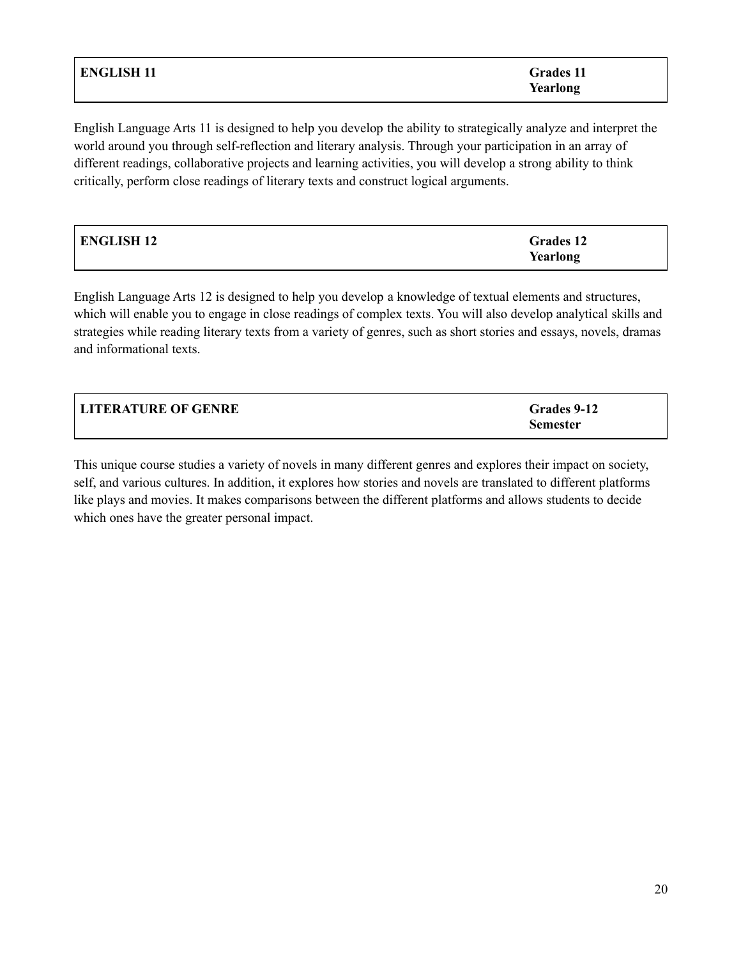| <b>ENGLISH 11</b> | <b>Grades 11</b> |
|-------------------|------------------|
|                   | Yearlong         |

English Language Arts 11 is designed to help you develop the ability to strategically analyze and interpret the world around you through self-reflection and literary analysis. Through your participation in an array of different readings, collaborative projects and learning activities, you will develop a strong ability to think critically, perform close readings of literary texts and construct logical arguments.

| ENGLISH 12 | <b>Grades 12</b> |
|------------|------------------|
|            | Yearlong         |

English Language Arts 12 is designed to help you develop a knowledge of textual elements and structures, which will enable you to engage in close readings of complex texts. You will also develop analytical skills and strategies while reading literary texts from a variety of genres, such as short stories and essays, novels, dramas and informational texts.

| <b>LITERATURE OF GENRE</b> | Grades 9-12     |
|----------------------------|-----------------|
|                            | <b>Semester</b> |

This unique course studies a variety of novels in many different genres and explores their impact on society, self, and various cultures. In addition, it explores how stories and novels are translated to different platforms like plays and movies. It makes comparisons between the different platforms and allows students to decide which ones have the greater personal impact.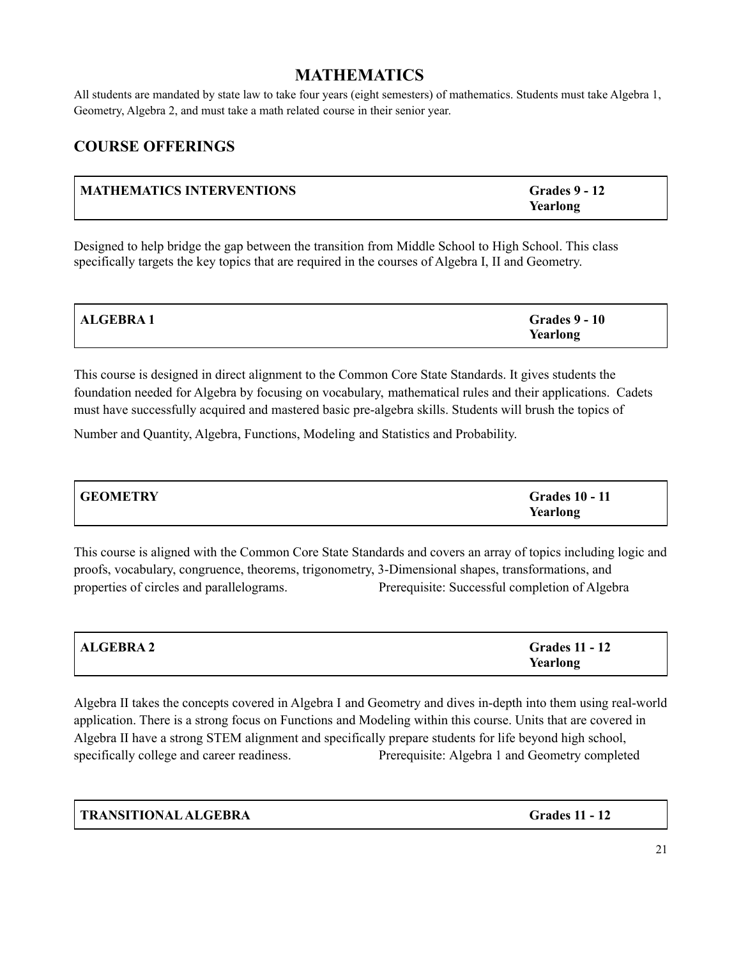# **MATHEMATICS**

All students are mandated by state law to take four years (eight semesters) of mathematics. Students must take Algebra 1, Geometry, Algebra 2, and must take a math related course in their senior year.

# **COURSE OFFERINGS**

| MATHEMATICS INTERVENTIONS | <b>Grades 9 - 12</b><br>Yearlong |
|---------------------------|----------------------------------|
|                           |                                  |

Designed to help bridge the gap between the transition from Middle School to High School. This class specifically targets the key topics that are required in the courses of Algebra I, II and Geometry.

| <b>ALGEBRA1</b> | <b>Grades 9 - 10</b> |
|-----------------|----------------------|
|                 | Yearlong             |

This course is designed in direct alignment to the Common Core State Standards. It gives students the foundation needed for Algebra by focusing on vocabulary, mathematical rules and their applications. Cadets must have successfully acquired and mastered basic pre-algebra skills. Students will brush the topics of

Number and Quantity, Algebra, Functions, Modeling and Statistics and Probability.

| <b>GEOMETRY</b> | <b>Grades 10 - 11</b> |
|-----------------|-----------------------|
|                 | Yearlong              |

This course is aligned with the Common Core State Standards and covers an array of topics including logic and proofs, vocabulary, congruence, theorems, trigonometry, 3-Dimensional shapes, transformations, and properties of circles and parallelograms. Prerequisite: Successful completion of Algebra

| ALGEBRA 2 | <b>Grades 11 - 12</b> |
|-----------|-----------------------|
|           | Yearlong              |

Algebra II takes the concepts covered in Algebra I and Geometry and dives in-depth into them using real-world application. There is a strong focus on Functions and Modeling within this course. Units that are covered in Algebra II have a strong STEM alignment and specifically prepare students for life beyond high school, specifically college and career readiness. Prerequisite: Algebra 1 and Geometry completed

**TRANSITIONALALGEBRA Grades 11 - 12**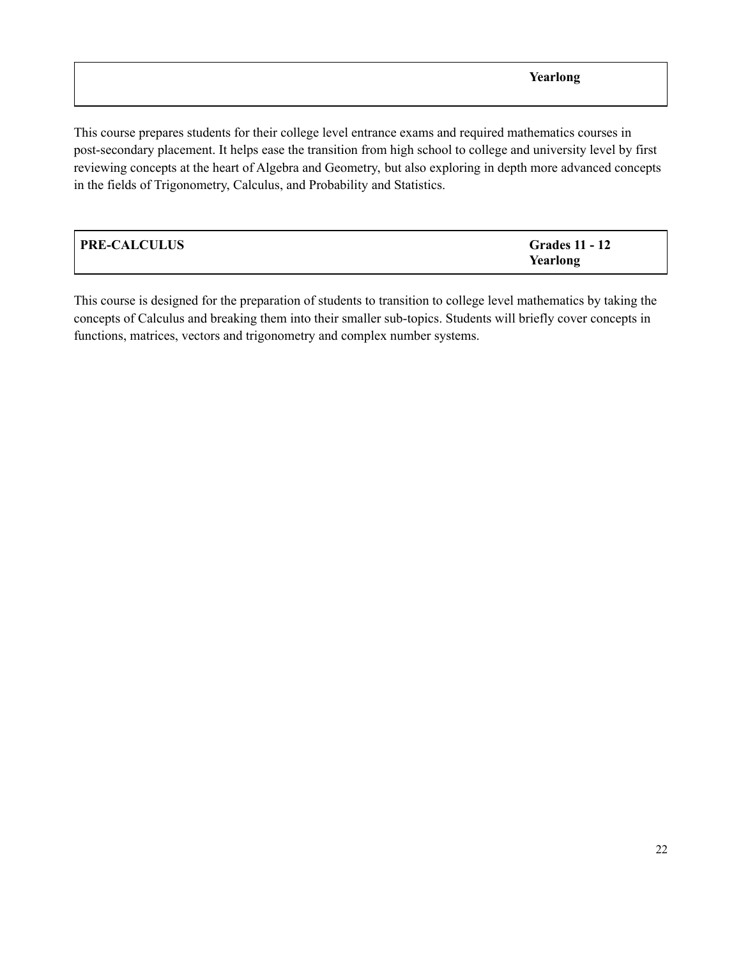This course prepares students for their college level entrance exams and required mathematics courses in post-secondary placement. It helps ease the transition from high school to college and university level by first reviewing concepts at the heart of Algebra and Geometry, but also exploring in depth more advanced concepts in the fields of Trigonometry, Calculus, and Probability and Statistics.

| <b>PRE-CALCULUS</b> | <b>Grades 11 - 12</b> |
|---------------------|-----------------------|
|                     | Yearlong              |

This course is designed for the preparation of students to transition to college level mathematics by taking the concepts of Calculus and breaking them into their smaller sub-topics. Students will briefly cover concepts in functions, matrices, vectors and trigonometry and complex number systems.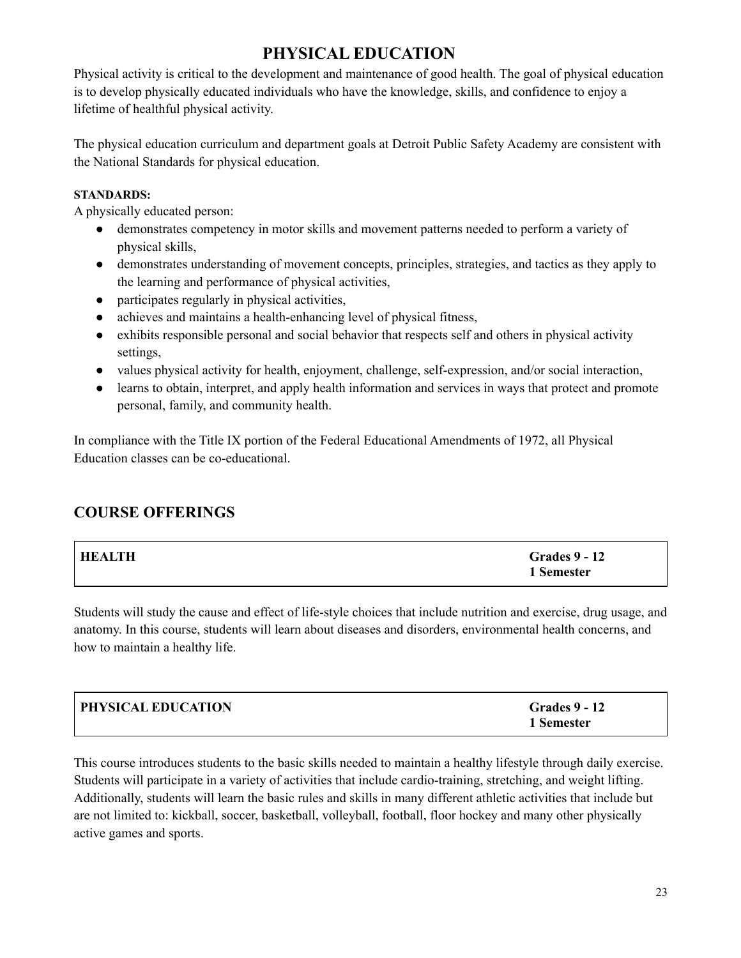# **PHYSICAL EDUCATION**

Physical activity is critical to the development and maintenance of good health. The goal of physical education is to develop physically educated individuals who have the knowledge, skills, and confidence to enjoy a lifetime of healthful physical activity.

The physical education curriculum and department goals at Detroit Public Safety Academy are consistent with the National Standards for physical education.

### **STANDARDS:**

A physically educated person:

- demonstrates competency in motor skills and movement patterns needed to perform a variety of physical skills,
- demonstrates understanding of movement concepts, principles, strategies, and tactics as they apply to the learning and performance of physical activities,
- participates regularly in physical activities,
- achieves and maintains a health-enhancing level of physical fitness,
- exhibits responsible personal and social behavior that respects self and others in physical activity settings,
- values physical activity for health, enjoyment, challenge, self-expression, and/or social interaction,
- learns to obtain, interpret, and apply health information and services in ways that protect and promote personal, family, and community health.

In compliance with the Title IX portion of the Federal Educational Amendments of 1972, all Physical Education classes can be co-educational.

# **COURSE OFFERINGS**

| <b>HEALTH</b> | <b>Grades 9 - 12</b><br>1 Semester |
|---------------|------------------------------------|
|               |                                    |

Students will study the cause and effect of life-style choices that include nutrition and exercise, drug usage, and anatomy. In this course, students will learn about diseases and disorders, environmental health concerns, and how to maintain a healthy life.

| <b>PHYSICAL EDUCATION</b> | <b>Grades 9 - 12</b> |
|---------------------------|----------------------|
|                           | 1 Semester           |

This course introduces students to the basic skills needed to maintain a healthy lifestyle through daily exercise. Students will participate in a variety of activities that include cardio-training, stretching, and weight lifting. Additionally, students will learn the basic rules and skills in many different athletic activities that include but are not limited to: kickball, soccer, basketball, volleyball, football, floor hockey and many other physically active games and sports.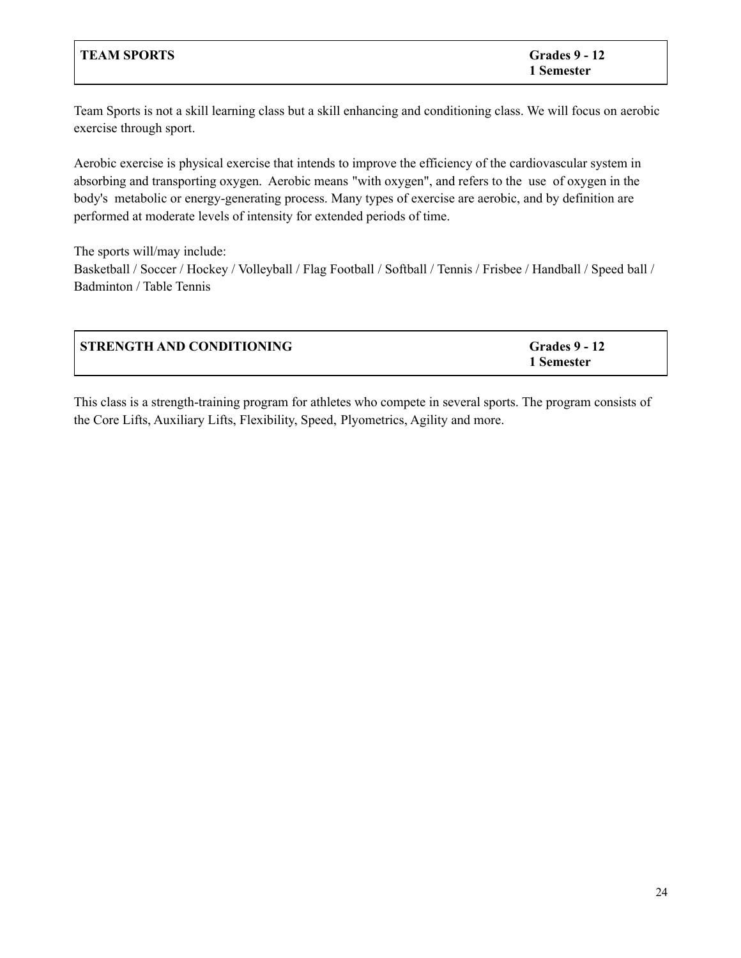| <b>TEAM SPORTS</b> | <b>Grades 9 - 12</b> |
|--------------------|----------------------|
|                    | 1 Semester           |

Team Sports is not a skill learning class but a skill enhancing and conditioning class. We will focus on aerobic exercise through sport.

Aerobic exercise is physical exercise that intends to improve the efficiency of the cardiovascular system in absorbing and transporting oxygen. Aerobic means "with oxygen", and refers to the use of oxygen in the body's metabolic or energy-generating process. Many types of exercise are aerobic, and by definition are performed at moderate levels of intensity for extended periods of time.

The sports will/may include: Basketball / Soccer / Hockey / Volleyball / Flag Football / Softball / Tennis / Frisbee / Handball / Speed ball / Badminton / Table Tennis

| <b>STRENGTH AND CONDITIONING</b> | <b>Grades 9 - 12</b> |
|----------------------------------|----------------------|
|                                  | 1 Semester           |

This class is a strength-training program for athletes who compete in several sports. The program consists of the Core Lifts, Auxiliary Lifts, Flexibility, Speed, Plyometrics, Agility and more.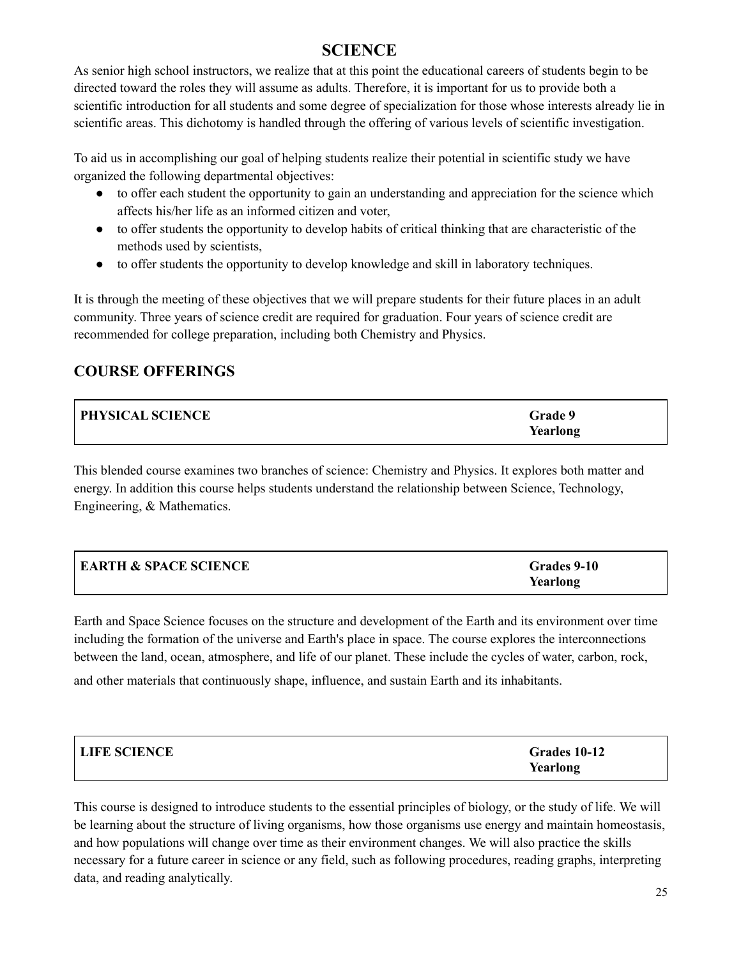# **SCIENCE**

As senior high school instructors, we realize that at this point the educational careers of students begin to be directed toward the roles they will assume as adults. Therefore, it is important for us to provide both a scientific introduction for all students and some degree of specialization for those whose interests already lie in scientific areas. This dichotomy is handled through the offering of various levels of scientific investigation.

To aid us in accomplishing our goal of helping students realize their potential in scientific study we have organized the following departmental objectives:

- to offer each student the opportunity to gain an understanding and appreciation for the science which affects his/her life as an informed citizen and voter,
- to offer students the opportunity to develop habits of critical thinking that are characteristic of the methods used by scientists,
- to offer students the opportunity to develop knowledge and skill in laboratory techniques.

It is through the meeting of these objectives that we will prepare students for their future places in an adult community. Three years of science credit are required for graduation. Four years of science credit are recommended for college preparation, including both Chemistry and Physics.

# **COURSE OFFERINGS**

| <b>PHYSICAL SCIENCE</b> | Grade 9  |
|-------------------------|----------|
|                         | Yearlong |

This blended course examines two branches of science: Chemistry and Physics. It explores both matter and energy. In addition this course helps students understand the relationship between Science, Technology, Engineering, & Mathematics.

| <b>EARTH &amp; SPACE SCIENCE</b> | Grades 9-10 |
|----------------------------------|-------------|
|                                  | Yearlong    |

Earth and Space Science focuses on the structure and development of the Earth and its environment over time including the formation of the universe and Earth's place in space. The course explores the interconnections between the land, ocean, atmosphere, and life of our planet. These include the cycles of water, carbon, rock,

and other materials that continuously shape, influence, and sustain Earth and its inhabitants.

| <b>LIFE SCIENCE</b> | Grades 10-12 |
|---------------------|--------------|
|                     | Yearlong     |

This course is designed to introduce students to the essential principles of biology, or the study of life. We will be learning about the structure of living organisms, how those organisms use energy and maintain homeostasis, and how populations will change over time as their environment changes. We will also practice the skills necessary for a future career in science or any field, such as following procedures, reading graphs, interpreting data, and reading analytically.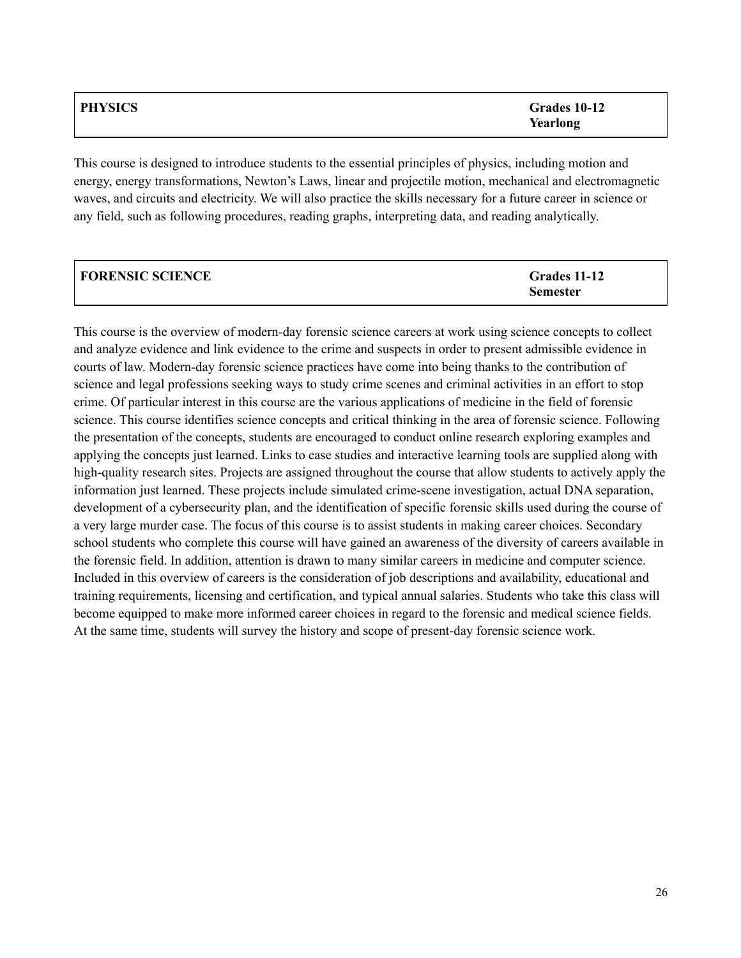| <b>PHYSICS</b> | Grades 10-12<br>Yearlong |
|----------------|--------------------------|
|                |                          |

This course is designed to introduce students to the essential principles of physics, including motion and energy, energy transformations, Newton's Laws, linear and projectile motion, mechanical and electromagnetic waves, and circuits and electricity. We will also practice the skills necessary for a future career in science or any field, such as following procedures, reading graphs, interpreting data, and reading analytically.

| <b>FORENSIC SCIENCE</b> | Grades 11-12    |
|-------------------------|-----------------|
|                         | <b>Semester</b> |

This course is the overview of modern-day forensic science careers at work using science concepts to collect and analyze evidence and link evidence to the crime and suspects in order to present admissible evidence in courts of law. Modern-day forensic science practices have come into being thanks to the contribution of science and legal professions seeking ways to study crime scenes and criminal activities in an effort to stop crime. Of particular interest in this course are the various applications of medicine in the field of forensic science. This course identifies science concepts and critical thinking in the area of forensic science. Following the presentation of the concepts, students are encouraged to conduct online research exploring examples and applying the concepts just learned. Links to case studies and interactive learning tools are supplied along with high-quality research sites. Projects are assigned throughout the course that allow students to actively apply the information just learned. These projects include simulated crime-scene investigation, actual DNA separation, development of a cybersecurity plan, and the identification of specific forensic skills used during the course of a very large murder case. The focus of this course is to assist students in making career choices. Secondary school students who complete this course will have gained an awareness of the diversity of careers available in the forensic field. In addition, attention is drawn to many similar careers in medicine and computer science. Included in this overview of careers is the consideration of job descriptions and availability, educational and training requirements, licensing and certification, and typical annual salaries. Students who take this class will become equipped to make more informed career choices in regard to the forensic and medical science fields. At the same time, students will survey the history and scope of present-day forensic science work.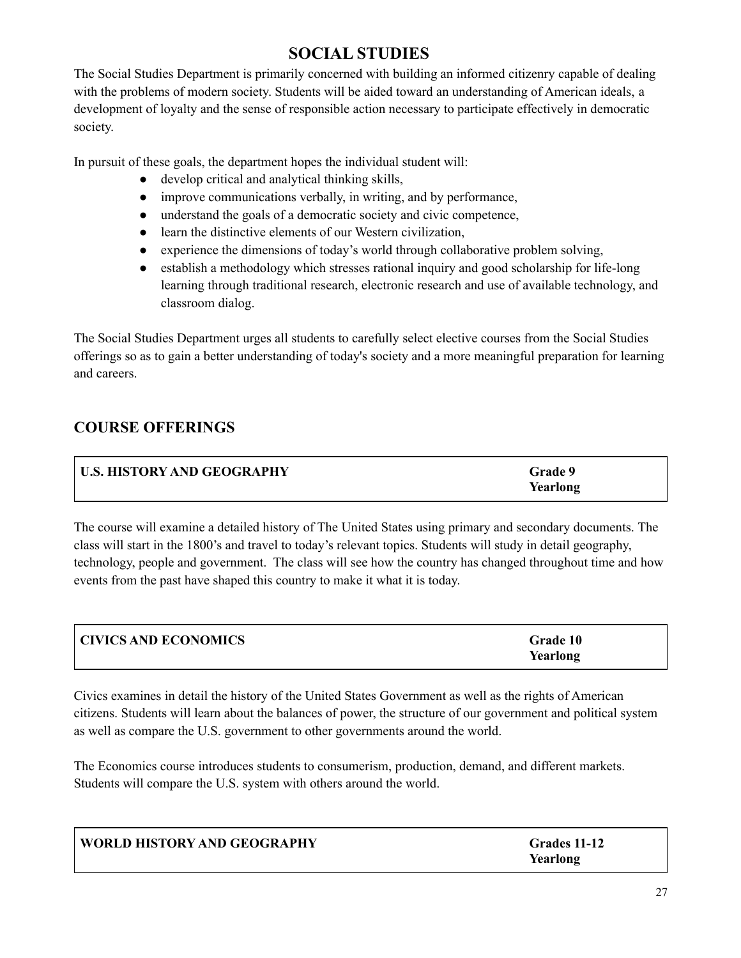# **SOCIAL STUDIES**

The Social Studies Department is primarily concerned with building an informed citizenry capable of dealing with the problems of modern society. Students will be aided toward an understanding of American ideals, a development of loyalty and the sense of responsible action necessary to participate effectively in democratic society.

In pursuit of these goals, the department hopes the individual student will:

- develop critical and analytical thinking skills,
- improve communications verbally, in writing, and by performance,
- understand the goals of a democratic society and civic competence,
- learn the distinctive elements of our Western civilization,
- experience the dimensions of today's world through collaborative problem solving,
- establish a methodology which stresses rational inquiry and good scholarship for life-long learning through traditional research, electronic research and use of available technology, and classroom dialog.

The Social Studies Department urges all students to carefully select elective courses from the Social Studies offerings so as to gain a better understanding of today's society and a more meaningful preparation for learning and careers.

# **COURSE OFFERINGS**

| U.S. HISTORY AND GEOGRAPHY | Grade 9  |
|----------------------------|----------|
|                            | Yearlong |

The course will examine a detailed history of The United States using primary and secondary documents. The class will start in the 1800's and travel to today's relevant topics. Students will study in detail geography, technology, people and government. The class will see how the country has changed throughout time and how events from the past have shaped this country to make it what it is today.

| <b>CIVICS AND ECONOMICS</b> | Grade 10 |
|-----------------------------|----------|
|                             | Yearlong |

Civics examines in detail the history of the United States Government as well as the rights of American citizens. Students will learn about the balances of power, the structure of our government and political system as well as compare the U.S. government to other governments around the world.

The Economics course introduces students to consumerism, production, demand, and different markets. Students will compare the U.S. system with others around the world.

| WORLD HISTORY AND GEOGRAPHY | Grades 11-12<br>Yearlong |
|-----------------------------|--------------------------|
|-----------------------------|--------------------------|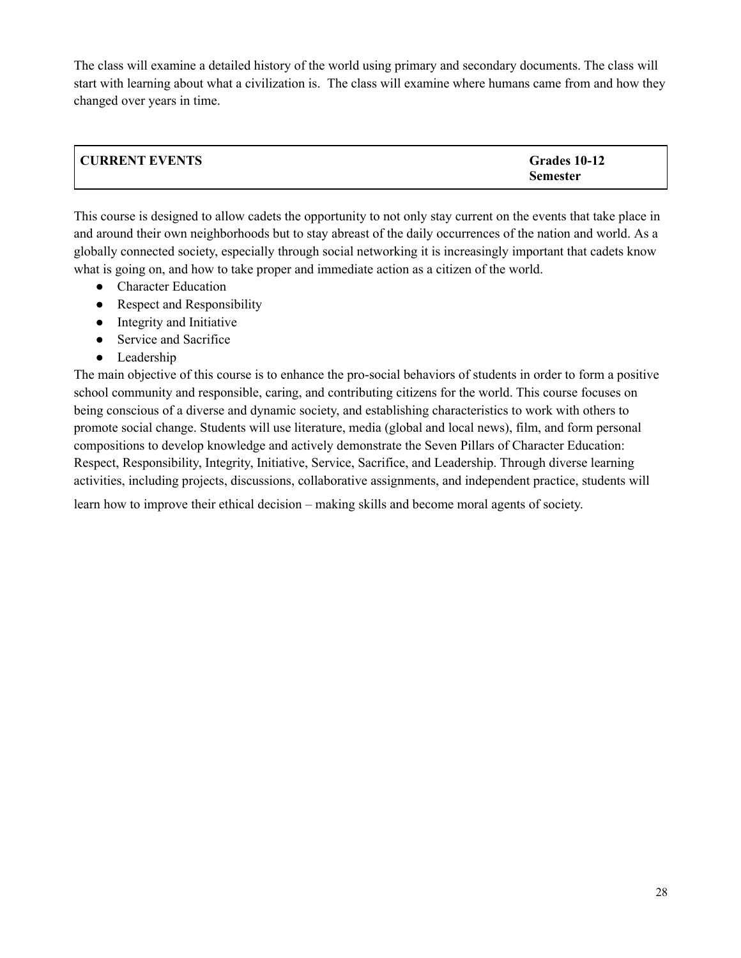The class will examine a detailed history of the world using primary and secondary documents. The class will start with learning about what a civilization is. The class will examine where humans came from and how they changed over years in time.

| <b>CURRENT EVENTS</b> | Grades 10-12    |
|-----------------------|-----------------|
|                       | <b>Semester</b> |

This course is designed to allow cadets the opportunity to not only stay current on the events that take place in and around their own neighborhoods but to stay abreast of the daily occurrences of the nation and world. As a globally connected society, especially through social networking it is increasingly important that cadets know what is going on, and how to take proper and immediate action as a citizen of the world.

- Character Education
- Respect and Responsibility
- Integrity and Initiative
- Service and Sacrifice
- Leadership

The main objective of this course is to enhance the pro-social behaviors of students in order to form a positive school community and responsible, caring, and contributing citizens for the world. This course focuses on being conscious of a diverse and dynamic society, and establishing characteristics to work with others to promote social change. Students will use literature, media (global and local news), film, and form personal compositions to develop knowledge and actively demonstrate the Seven Pillars of Character Education: Respect, Responsibility, Integrity, Initiative, Service, Sacrifice, and Leadership. Through diverse learning activities, including projects, discussions, collaborative assignments, and independent practice, students will

learn how to improve their ethical decision – making skills and become moral agents of society.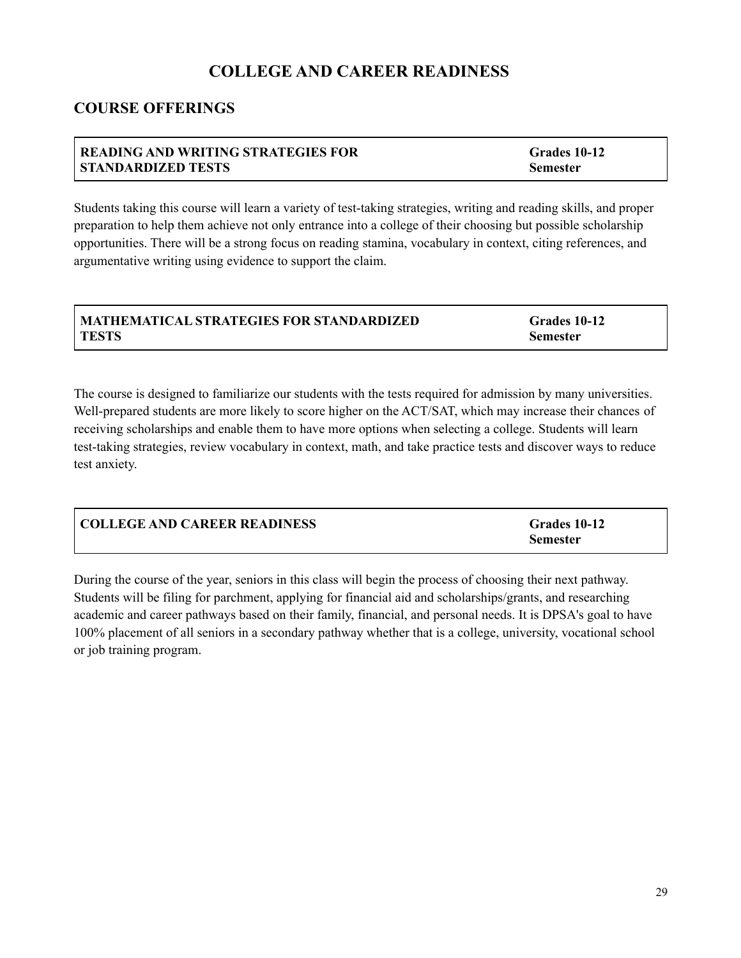# **COLLEGE AND CAREER READINESS**

# **COURSE OFFERINGS**

#### **READING AND WRITING STRATEGIES FOR STANDARDIZED TESTS Grades 10-12 Semester**

Students taking this course will learn a variety of test-taking strategies, writing and reading skills, and proper preparation to help them achieve not only entrance into a college of their choosing but possible scholarship opportunities. There will be a strong focus on reading stamina, vocabulary in context, citing references, and argumentative writing using evidence to support the claim.

| MATHEMATICAL STRATEGIES FOR STANDARDIZED | Grades 10-12    |
|------------------------------------------|-----------------|
| <b>TESTS</b>                             | <b>Semester</b> |

The course is designed to familiarize our students with the tests required for admission by many universities. Well-prepared students are more likely to score higher on the ACT/SAT, which may increase their chances of receiving scholarships and enable them to have more options when selecting a college. Students will learn test-taking strategies, review vocabulary in context, math, and take practice tests and discover ways to reduce test anxiety.

| <b>COLLEGE AND CAREER READINESS</b> | Grades 10-12    |
|-------------------------------------|-----------------|
|                                     | <b>Semester</b> |

During the course of the year, seniors in this class will begin the process of choosing their next pathway. Students will be filing for parchment, applying for financial aid and scholarships/grants, and researching academic and career pathways based on their family, financial, and personal needs. It is DPSA's goal to have 100% placement of all seniors in a secondary pathway whether that is a college, university, vocational school or job training program.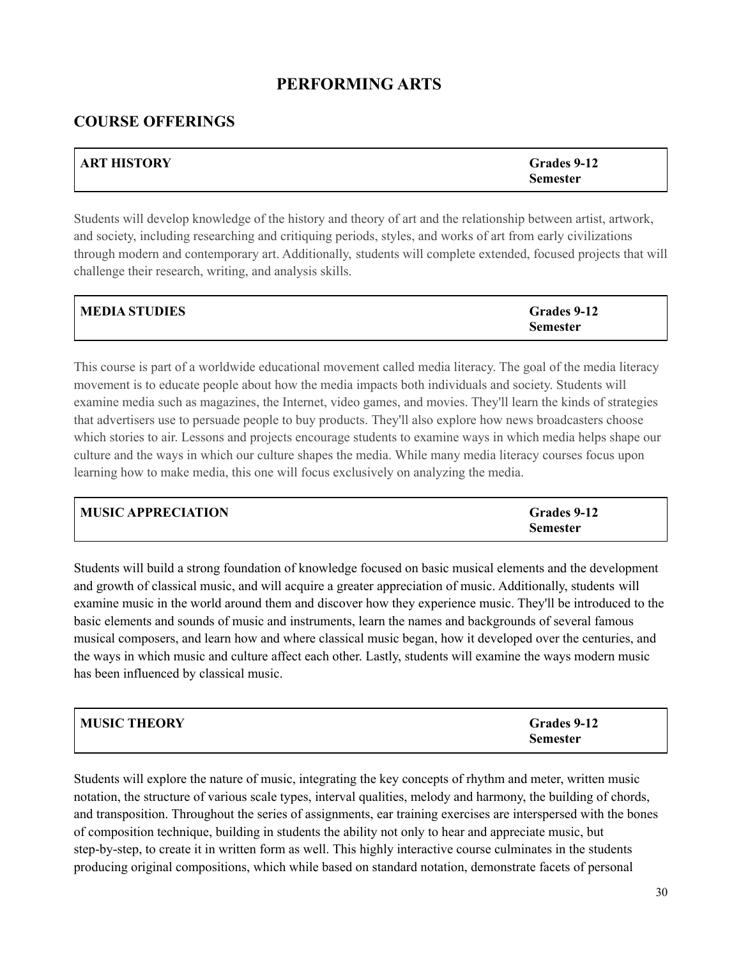# **PERFORMING ARTS**

## **COURSE OFFERINGS**

| <b>ART HISTORY</b> | Grades 9-12     |
|--------------------|-----------------|
|                    | <b>Semester</b> |

Students will develop knowledge of the history and theory of art and the relationship between artist, artwork, and society, including researching and critiquing periods, styles, and works of art from early civilizations through modern and contemporary art. Additionally, students will complete extended, focused projects that will challenge their research, writing, and analysis skills.

| <b>MEDIA STUDIES</b> | Grades 9-12     |
|----------------------|-----------------|
|                      | <b>Semester</b> |

This course is part of a worldwide educational movement called media literacy. The goal of the media literacy movement is to educate people about how the media impacts both individuals and society. Students will examine media such as magazines, the Internet, video games, and movies. They'll learn the kinds of strategies that advertisers use to persuade people to buy products. They'll also explore how news broadcasters choose which stories to air. Lessons and projects encourage students to examine ways in which media helps shape our culture and the ways in which our culture shapes the media. While many media literacy courses focus upon learning how to make media, this one will focus exclusively on analyzing the media.

| <b>MUSIC APPRECIATION</b> | Grades 9-12     |
|---------------------------|-----------------|
|                           | <b>Semester</b> |

Students will build a strong foundation of knowledge focused on basic musical elements and the development and growth of classical music, and will acquire a greater appreciation of music. Additionally, students will examine music in the world around them and discover how they experience music. They'll be introduced to the basic elements and sounds of music and instruments, learn the names and backgrounds of several famous musical composers, and learn how and where classical music began, how it developed over the centuries, and the ways in which music and culture affect each other. Lastly, students will examine the ways modern music has been influenced by classical music.

| <b>MUSIC THEORY</b> | Grades 9-12     |
|---------------------|-----------------|
|                     | <b>Semester</b> |

Students will explore the nature of music, integrating the key concepts of rhythm and meter, written music notation, the structure of various scale types, interval qualities, melody and harmony, the building of chords, and transposition. Throughout the series of assignments, ear training exercises are interspersed with the bones of composition technique, building in students the ability not only to hear and appreciate music, but step-by-step, to create it in written form as well. This highly interactive course culminates in the students producing original compositions, which while based on standard notation, demonstrate facets of personal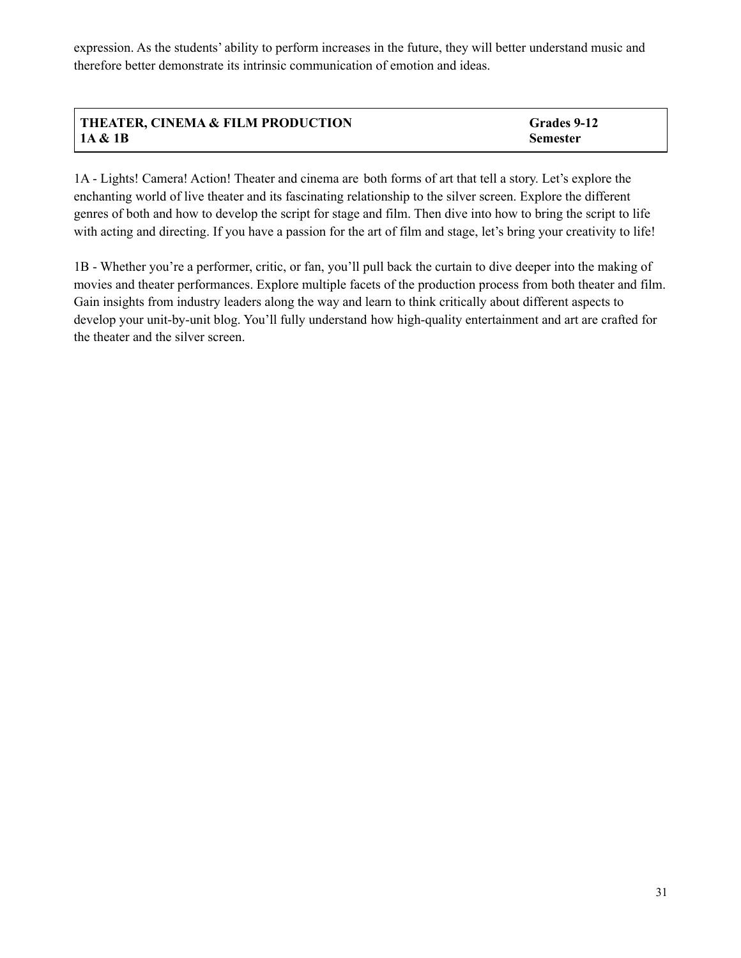expression. As the students' ability to perform increases in the future, they will better understand music and therefore better demonstrate its intrinsic communication of emotion and ideas.

| THEATER, CINEMA & FILM PRODUCTION | Grades 9-12     |
|-----------------------------------|-----------------|
| 1A & 1B                           | <b>Semester</b> |

1A - Lights! Camera! Action! Theater and cinema are both forms of art that tell a story. Let's explore the enchanting world of live theater and its fascinating relationship to the silver screen. Explore the different genres of both and how to develop the script for stage and film. Then dive into how to bring the script to life with acting and directing. If you have a passion for the art of film and stage, let's bring your creativity to life!

1B - Whether you're a performer, critic, or fan, you'll pull back the curtain to dive deeper into the making of movies and theater performances. Explore multiple facets of the production process from both theater and film. Gain insights from industry leaders along the way and learn to think critically about different aspects to develop your unit-by-unit blog. You'll fully understand how high-quality entertainment and art are crafted for the theater and the silver screen.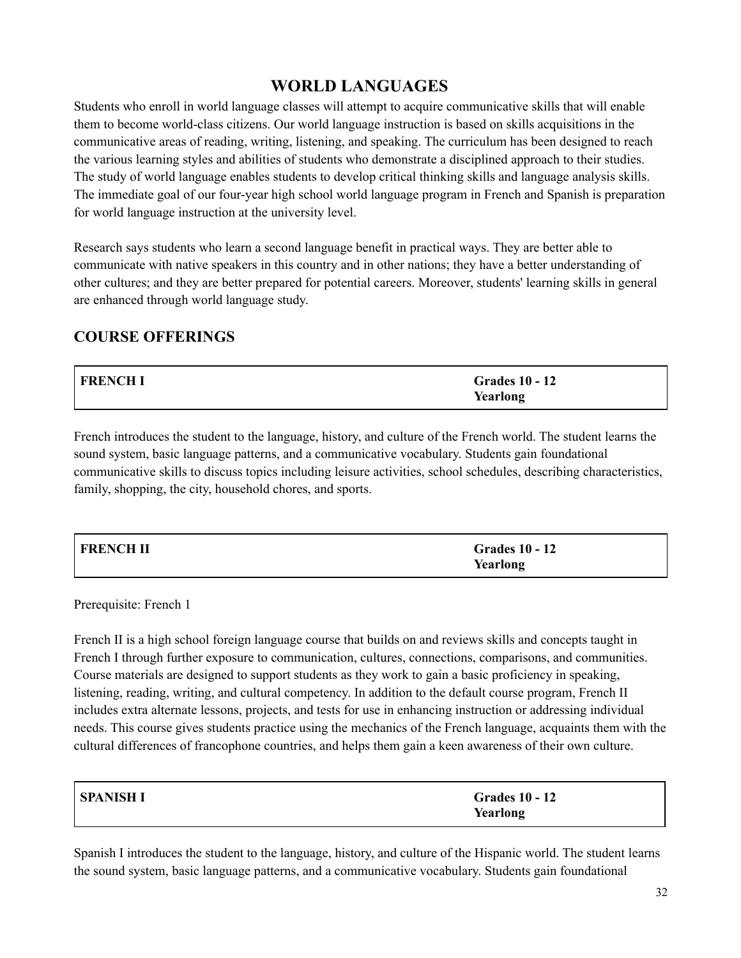# **WORLD LANGUAGES**

Students who enroll in world language classes will attempt to acquire communicative skills that will enable them to become world-class citizens. Our world language instruction is based on skills acquisitions in the communicative areas of reading, writing, listening, and speaking. The curriculum has been designed to reach the various learning styles and abilities of students who demonstrate a disciplined approach to their studies. The study of world language enables students to develop critical thinking skills and language analysis skills. The immediate goal of our four-year high school world language program in French and Spanish is preparation for world language instruction at the university level.

Research says students who learn a second language benefit in practical ways. They are better able to communicate with native speakers in this country and in other nations; they have a better understanding of other cultures; and they are better prepared for potential careers. Moreover, students' learning skills in general are enhanced through world language study.

# **COURSE OFFERINGS**

| FRENCH I | <b>Grades 10 - 12</b> |
|----------|-----------------------|
|          | Yearlong              |

French introduces the student to the language, history, and culture of the French world. The student learns the sound system, basic language patterns, and a communicative vocabulary. Students gain foundational communicative skills to discuss topics including leisure activities, school schedules, describing characteristics, family, shopping, the city, household chores, and sports.

| <b>FRENCH II</b> | <b>Grades 10 - 12</b> |
|------------------|-----------------------|
|                  | Yearlong              |

Prerequisite: French 1

French II is a high school foreign language course that builds on and reviews skills and concepts taught in French I through further exposure to communication, cultures, connections, comparisons, and communities. Course materials are designed to support students as they work to gain a basic proficiency in speaking, listening, reading, writing, and cultural competency. In addition to the default course program, French II includes extra alternate lessons, projects, and tests for use in enhancing instruction or addressing individual needs. This course gives students practice using the mechanics of the French language, acquaints them with the cultural differences of francophone countries, and helps them gain a keen awareness of their own culture.

| SPANISH I | <b>Grades 10 - 12</b> |
|-----------|-----------------------|
|           | Yearlong              |

Spanish I introduces the student to the language, history, and culture of the Hispanic world. The student learns the sound system, basic language patterns, and a communicative vocabulary. Students gain foundational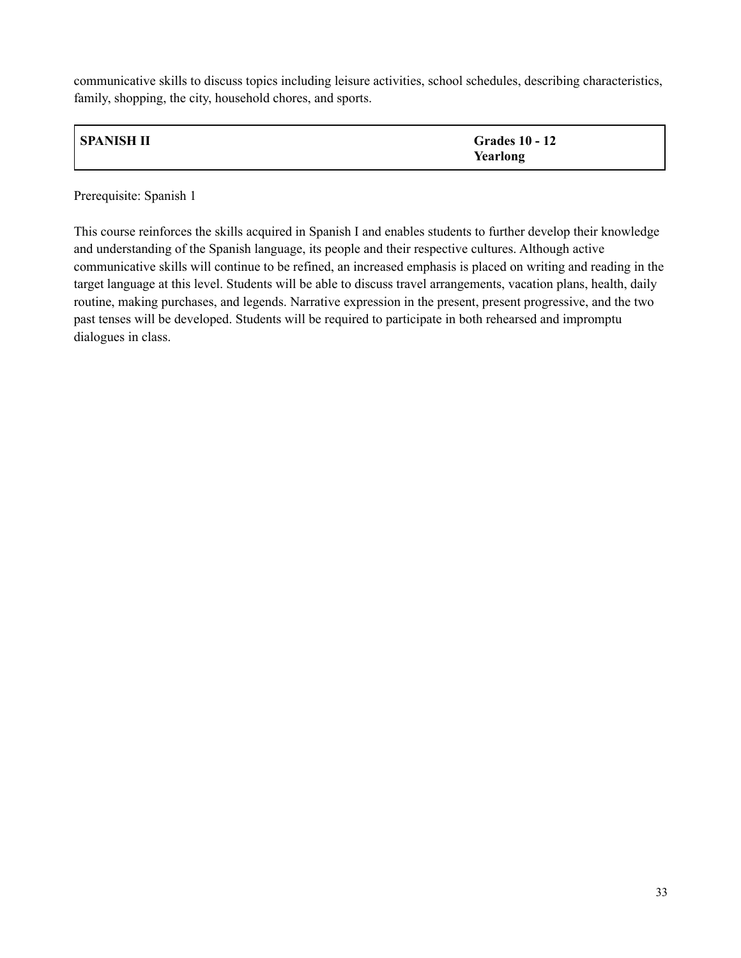communicative skills to discuss topics including leisure activities, school schedules, describing characteristics, family, shopping, the city, household chores, and sports.

| SPANISH II | <b>Grades 10 - 12</b> |
|------------|-----------------------|
|            | Yearlong              |

Prerequisite: Spanish 1

This course reinforces the skills acquired in Spanish I and enables students to further develop their knowledge and understanding of the Spanish language, its people and their respective cultures. Although active communicative skills will continue to be refined, an increased emphasis is placed on writing and reading in the target language at this level. Students will be able to discuss travel arrangements, vacation plans, health, daily routine, making purchases, and legends. Narrative expression in the present, present progressive, and the two past tenses will be developed. Students will be required to participate in both rehearsed and impromptu dialogues in class.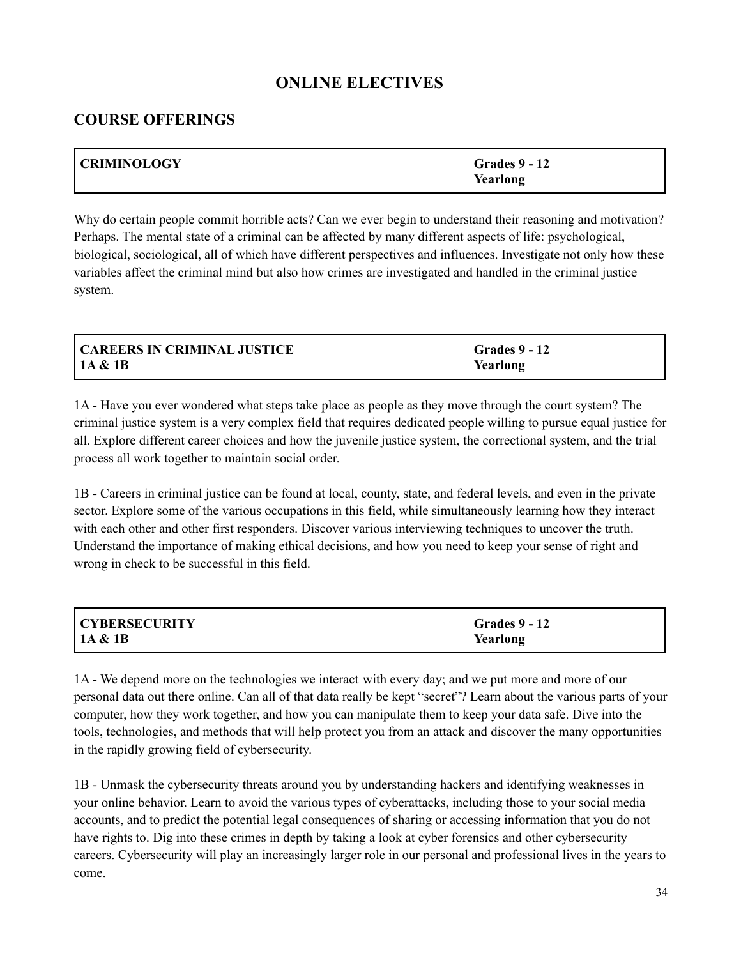# **ONLINE ELECTIVES**

## **COURSE OFFERINGS**

| <b>CRIMINOLOGY</b> | <b>Grades 9 - 12</b> |
|--------------------|----------------------|
|                    | Yearlong             |

Why do certain people commit horrible acts? Can we ever begin to understand their reasoning and motivation? Perhaps. The mental state of a criminal can be affected by many different aspects of life: psychological, biological, sociological, all of which have different perspectives and influences. Investigate not only how these variables affect the criminal mind but also how crimes are investigated and handled in the criminal justice system.

| CAREERS IN CRIMINAL JUSTICE | <b>Grades 9 - 12</b> |
|-----------------------------|----------------------|
| $\vert$ 1A & 1B             | Yearlong             |

1A - Have you ever wondered what steps take place as people as they move through the court system? The criminal justice system is a very complex field that requires dedicated people willing to pursue equal justice for all. Explore different career choices and how the juvenile justice system, the correctional system, and the trial process all work together to maintain social order.

1B - Careers in criminal justice can be found at local, county, state, and federal levels, and even in the private sector. Explore some of the various occupations in this field, while simultaneously learning how they interact with each other and other first responders. Discover various interviewing techniques to uncover the truth. Understand the importance of making ethical decisions, and how you need to keep your sense of right and wrong in check to be successful in this field.

| <b>CYBERSECURITY</b> | <b>Grades 9 - 12</b> |
|----------------------|----------------------|
| 1A & 1B              | Yearlong             |

1A - We depend more on the technologies we interact with every day; and we put more and more of our personal data out there online. Can all of that data really be kept "secret"? Learn about the various parts of your computer, how they work together, and how you can manipulate them to keep your data safe. Dive into the tools, technologies, and methods that will help protect you from an attack and discover the many opportunities in the rapidly growing field of cybersecurity.

1B - Unmask the cybersecurity threats around you by understanding hackers and identifying weaknesses in your online behavior. Learn to avoid the various types of cyberattacks, including those to your social media accounts, and to predict the potential legal consequences of sharing or accessing information that you do not have rights to. Dig into these crimes in depth by taking a look at cyber forensics and other cybersecurity careers. Cybersecurity will play an increasingly larger role in our personal and professional lives in the years to come.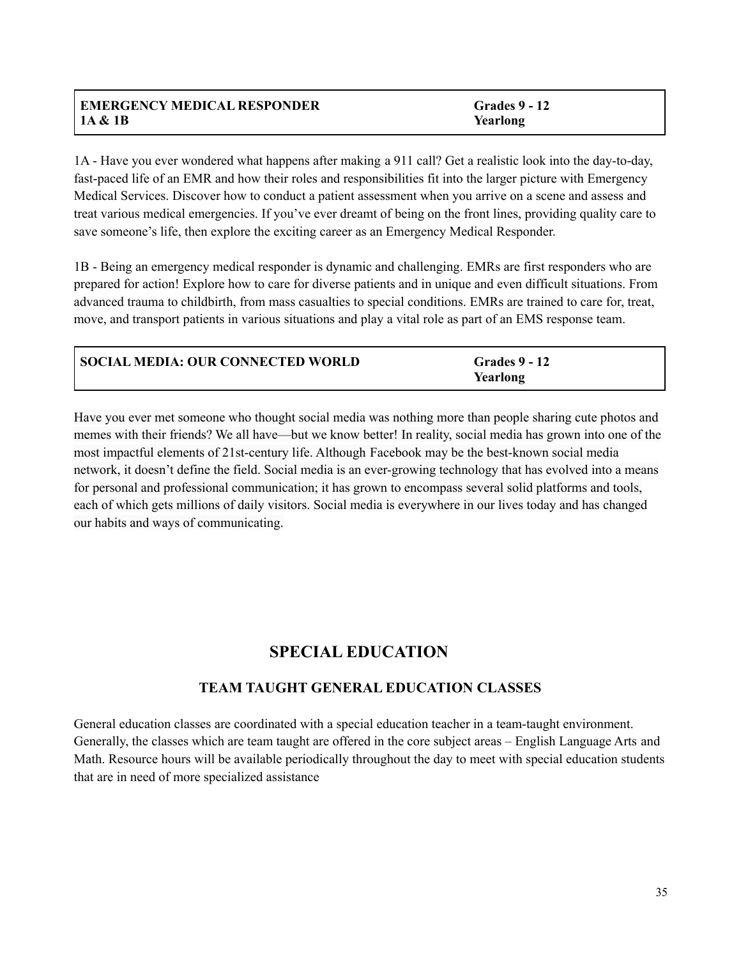## **EMERGENCY MEDICAL RESPONDER 1A & 1B**

**Grades 9 - 12 Yearlong**

1A - Have you ever wondered what happens after making a 911 call? Get a realistic look into the day-to-day, fast-paced life of an EMR and how their roles and responsibilities fit into the larger picture with Emergency Medical Services. Discover how to conduct a patient assessment when you arrive on a scene and assess and treat various medical emergencies. If you've ever dreamt of being on the front lines, providing quality care to save someone's life, then explore the exciting career as an Emergency Medical Responder.

1B - Being an emergency medical responder is dynamic and challenging. EMRs are first responders who are prepared for action! Explore how to care for diverse patients and in unique and even difficult situations. From advanced trauma to childbirth, from mass casualties to special conditions. EMRs are trained to care for, treat, move, and transport patients in various situations and play a vital role as part of an EMS response team.

| SOCIAL MEDIA: OUR CONNECTED WORLD | <b>Grades 9 - 12</b> |
|-----------------------------------|----------------------|
|                                   | Yearlong             |

Have you ever met someone who thought social media was nothing more than people sharing cute photos and memes with their friends? We all have—but we know better! In reality, social media has grown into one of the most impactful elements of 21st-century life. Although Facebook may be the best-known social media network, it doesn't define the field. Social media is an ever-growing technology that has evolved into a means for personal and professional communication; it has grown to encompass several solid platforms and tools, each of which gets millions of daily visitors. Social media is everywhere in our lives today and has changed our habits and ways of communicating.

# **SPECIAL EDUCATION**

# **TEAM TAUGHT GENERAL EDUCATION CLASSES**

General education classes are coordinated with a special education teacher in a team-taught environment. Generally, the classes which are team taught are offered in the core subject areas – English Language Arts and Math. Resource hours will be available periodically throughout the day to meet with special education students that are in need of more specialized assistance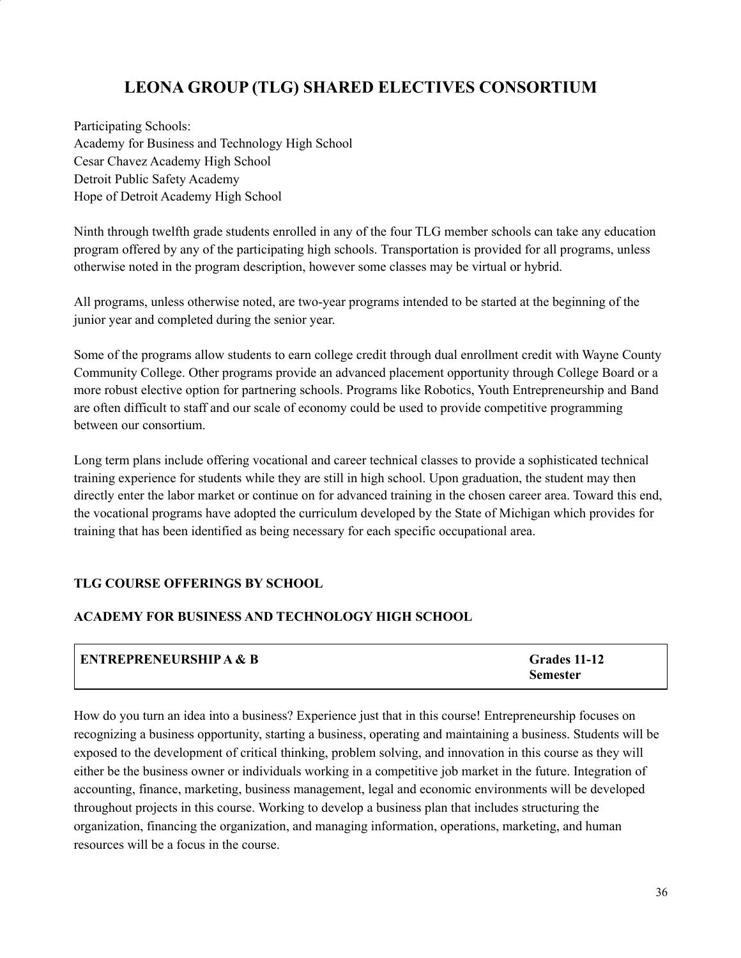# **LEONA GROUP (TLG) SHARED ELECTIVES CONSORTIUM**

Participating Schools: Academy for Business and Technology High School Cesar Chavez Academy High School Detroit Public Safety Academy Hope of Detroit Academy High School

Ninth through twelfth grade students enrolled in any of the four TLG member schools can take any education program offered by any of the participating high schools. Transportation is provided for all programs, unless otherwise noted in the program description, however some classes may be virtual or hybrid.

All programs, unless otherwise noted, are two-year programs intended to be started at the beginning of the junior year and completed during the senior year.

Some of the programs allow students to earn college credit through dual enrollment credit with Wayne County Community College. Other programs provide an advanced placement opportunity through College Board or a more robust elective option for partnering schools. Programs like Robotics, Youth Entrepreneurship and Band are often difficult to staff and our scale of economy could be used to provide competitive programming between our consortium.

Long term plans include offering vocational and career technical classes to provide a sophisticated technical training experience for students while they are still in high school. Upon graduation, the student may then directly enter the labor market or continue on for advanced training in the chosen career area. Toward this end, the vocational programs have adopted the curriculum developed by the State of Michigan which provides for training that has been identified as being necessary for each specific occupational area.

#### **TLG COURSE OFFERINGS BY SCHOOL**

### **ACADEMY FOR BUSINESS AND TECHNOLOGY HIGH SCHOOL**

| <b>ENTREPRENEURSHIP A &amp; B</b> | Grades 11-12    |
|-----------------------------------|-----------------|
|                                   | <b>Semester</b> |

How do you turn an idea into a business? Experience just that in this course! Entrepreneurship focuses on recognizing a business opportunity, starting a business, operating and maintaining a business. Students will be exposed to the development of critical thinking, problem solving, and innovation in this course as they will either be the business owner or individuals working in a competitive job market in the future. Integration of accounting, finance, marketing, business management, legal and economic environments will be developed throughout projects in this course. Working to develop a business plan that includes structuring the organization, financing the organization, and managing information, operations, marketing, and human resources will be a focus in the course.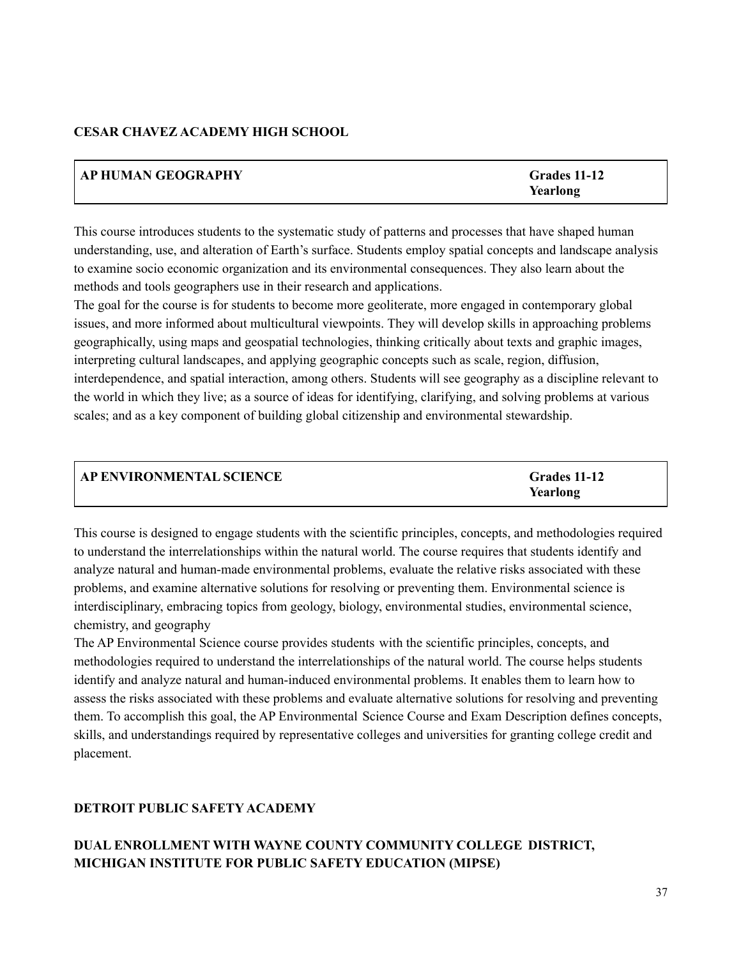## **CESAR CHAVEZ ACADEMY HIGH SCHOOL**

| AP HUMAN GEOGRAPHY | Grades 11-12 |
|--------------------|--------------|
|                    | Yearlong     |

This course introduces students to the systematic study of patterns and processes that have shaped human understanding, use, and alteration of Earth's surface. Students employ spatial concepts and landscape analysis to examine socio economic organization and its environmental consequences. They also learn about the methods and tools geographers use in their research and applications.

The goal for the course is for students to become more geoliterate, more engaged in contemporary global issues, and more informed about multicultural viewpoints. They will develop skills in approaching problems geographically, using maps and geospatial technologies, thinking critically about texts and graphic images, interpreting cultural landscapes, and applying geographic concepts such as scale, region, diffusion, interdependence, and spatial interaction, among others. Students will see geography as a discipline relevant to the world in which they live; as a source of ideas for identifying, clarifying, and solving problems at various scales; and as a key component of building global citizenship and environmental stewardship.

| <b>AP ENVIRONMENTAL SCIENCE</b> | Grades 11-12 |
|---------------------------------|--------------|
|                                 | Yearlong     |

This course is designed to engage students with the scientific principles, concepts, and methodologies required to understand the interrelationships within the natural world. The course requires that students identify and analyze natural and human-made environmental problems, evaluate the relative risks associated with these problems, and examine alternative solutions for resolving or preventing them. Environmental science is interdisciplinary, embracing topics from geology, biology, environmental studies, environmental science, chemistry, and geography

The AP Environmental Science course provides students with the scientific principles, concepts, and methodologies required to understand the interrelationships of the natural world. The course helps students identify and analyze natural and human-induced environmental problems. It enables them to learn how to assess the risks associated with these problems and evaluate alternative solutions for resolving and preventing them. To accomplish this goal, the AP Environmental Science Course and Exam Description defines concepts, skills, and understandings required by representative colleges and universities for granting college credit and placement.

## **DETROIT PUBLIC SAFETY ACADEMY**

# **DUAL ENROLLMENT WITH WAYNE COUNTY COMMUNITY COLLEGE DISTRICT, MICHIGAN INSTITUTE FOR PUBLIC SAFETY EDUCATION (MIPSE)**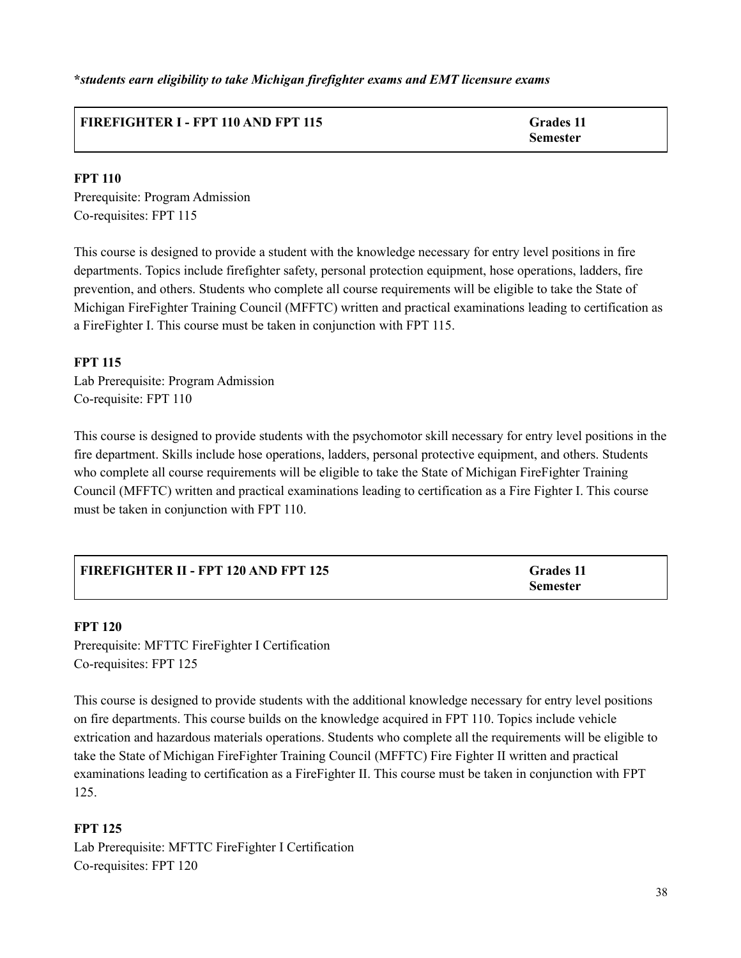**\****students earn eligibility to take Michigan firefighter exams and EMT licensure exams*

## **FIREFIGHTER I - FPT 110 AND FPT 115 Grades 11**

**Semester**

## **FPT 110**

Prerequisite: Program Admission Co-requisites: FPT 115

This course is designed to provide a student with the knowledge necessary for entry level positions in fire departments. Topics include firefighter safety, personal protection equipment, hose operations, ladders, fire prevention, and others. Students who complete all course requirements will be eligible to take the State of Michigan FireFighter Training Council (MFFTC) written and practical examinations leading to certification as a FireFighter I. This course must be taken in conjunction with FPT 115.

## **FPT 115**

Lab Prerequisite: Program Admission Co-requisite: FPT 110

This course is designed to provide students with the psychomotor skill necessary for entry level positions in the fire department. Skills include hose operations, ladders, personal protective equipment, and others. Students who complete all course requirements will be eligible to take the State of Michigan FireFighter Training Council (MFFTC) written and practical examinations leading to certification as a Fire Fighter I. This course must be taken in conjunction with FPT 110.

| FIREFIGHTER II - FPT 120 AND FPT 125 | <b>Grades</b> 11 |
|--------------------------------------|------------------|
|                                      | <b>Semester</b>  |

### **FPT 120**

Prerequisite: MFTTC FireFighter I Certification Co-requisites: FPT 125

This course is designed to provide students with the additional knowledge necessary for entry level positions on fire departments. This course builds on the knowledge acquired in FPT 110. Topics include vehicle extrication and hazardous materials operations. Students who complete all the requirements will be eligible to take the State of Michigan FireFighter Training Council (MFFTC) Fire Fighter II written and practical examinations leading to certification as a FireFighter II. This course must be taken in conjunction with FPT 125.

### **FPT 125**

Lab Prerequisite: MFTTC FireFighter I Certification Co-requisites: FPT 120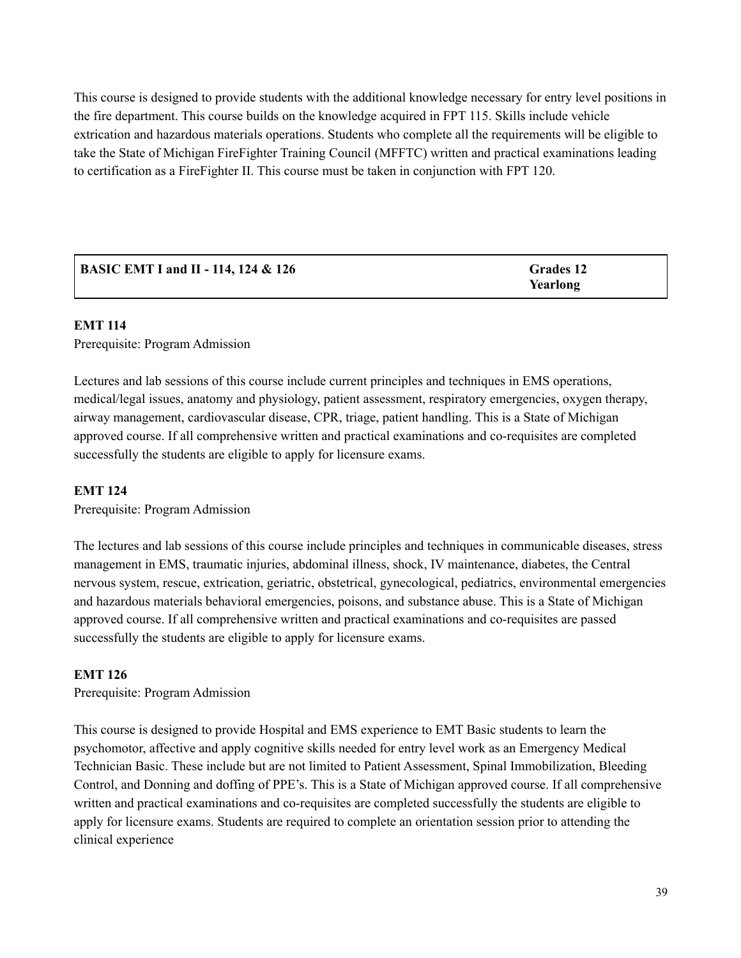This course is designed to provide students with the additional knowledge necessary for entry level positions in the fire department. This course builds on the knowledge acquired in FPT 115. Skills include vehicle extrication and hazardous materials operations. Students who complete all the requirements will be eligible to take the State of Michigan FireFighter Training Council (MFFTC) written and practical examinations leading to certification as a FireFighter II. This course must be taken in conjunction with FPT 120.

| <b>BASIC EMT I and II - 114, 124 &amp; 126</b> | Grades 12 |
|------------------------------------------------|-----------|
|                                                | Yearlong  |

#### **EMT 114**

Prerequisite: Program Admission

Lectures and lab sessions of this course include current principles and techniques in EMS operations, medical/legal issues, anatomy and physiology, patient assessment, respiratory emergencies, oxygen therapy, airway management, cardiovascular disease, CPR, triage, patient handling. This is a State of Michigan approved course. If all comprehensive written and practical examinations and co-requisites are completed successfully the students are eligible to apply for licensure exams.

#### **EMT 124**

Prerequisite: Program Admission

The lectures and lab sessions of this course include principles and techniques in communicable diseases, stress management in EMS, traumatic injuries, abdominal illness, shock, IV maintenance, diabetes, the Central nervous system, rescue, extrication, geriatric, obstetrical, gynecological, pediatrics, environmental emergencies and hazardous materials behavioral emergencies, poisons, and substance abuse. This is a State of Michigan approved course. If all comprehensive written and practical examinations and co-requisites are passed successfully the students are eligible to apply for licensure exams.

#### **EMT 126**

Prerequisite: Program Admission

This course is designed to provide Hospital and EMS experience to EMT Basic students to learn the psychomotor, affective and apply cognitive skills needed for entry level work as an Emergency Medical Technician Basic. These include but are not limited to Patient Assessment, Spinal Immobilization, Bleeding Control, and Donning and doffing of PPE's. This is a State of Michigan approved course. If all comprehensive written and practical examinations and co-requisites are completed successfully the students are eligible to apply for licensure exams. Students are required to complete an orientation session prior to attending the clinical experience